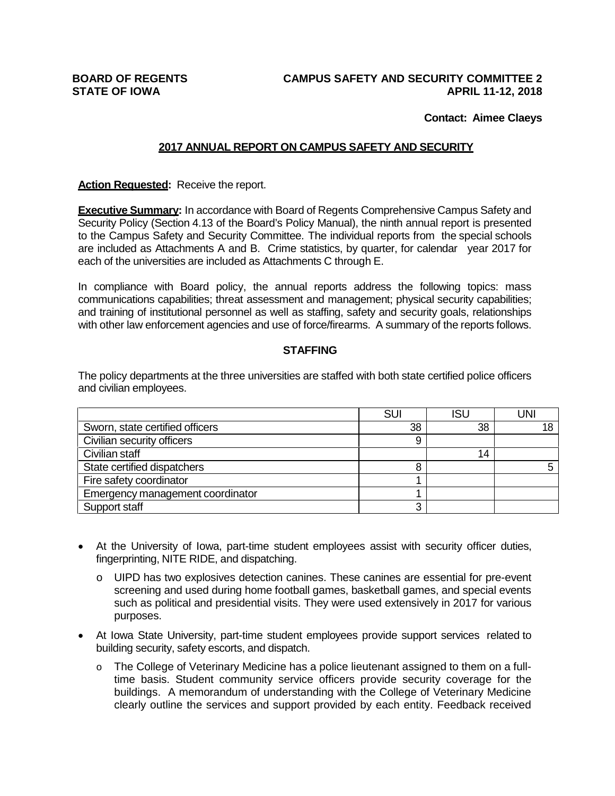# **BOARD OF REGENTS CAMPUS SAFETY AND SECURITY COMMITTEE 2 STATE OF IOWA APRIL 11-12, 2018**

#### **Contact: Aimee Claeys**

#### **2017 ANNUAL REPORT ON CAMPUS SAFETY AND SECURITY**

**Action Requested:** Receive the report.

**Executive Summary:** In accordance with Board of Regents Comprehensive Campus Safety and Security Policy (Section 4.13 of the Board's Policy Manual), the ninth annual report is presented to the Campus Safety and Security Committee. The individual reports from the special schools are included as Attachments A and B. Crime statistics, by quarter, for calendar year 2017 for each of the universities are included as Attachments C through E.

In compliance with Board policy, the annual reports address the following topics: mass communications capabilities; threat assessment and management; physical security capabilities; and training of institutional personnel as well as staffing, safety and security goals, relationships with other law enforcement agencies and use of force/firearms. A summary of the reports follows.

#### **STAFFING**

The policy departments at the three universities are staffed with both state certified police officers and civilian employees.

|                                  | SUI | <b>ISU</b> | JNI |
|----------------------------------|-----|------------|-----|
| Sworn, state certified officers  | 38  | 38         | 18  |
| Civilian security officers       |     |            |     |
| Civilian staff                   |     | 14         |     |
| State certified dispatchers      |     |            |     |
| Fire safety coordinator          |     |            |     |
| Emergency management coordinator |     |            |     |
| Support staff                    |     |            |     |

- At the University of Iowa, part-time student employees assist with security officer duties, fingerprinting, NITE RIDE, and dispatching.
	- o UIPD has two explosives detection canines. These canines are essential for pre-event screening and used during home football games, basketball games, and special events such as political and presidential visits. They were used extensively in 2017 for various purposes.
- At Iowa State University, part-time student employees provide support services related to building security, safety escorts, and dispatch.
	- o The College of Veterinary Medicine has a police lieutenant assigned to them on a fulltime basis. Student community service officers provide security coverage for the buildings. A memorandum of understanding with the College of Veterinary Medicine clearly outline the services and support provided by each entity. Feedback received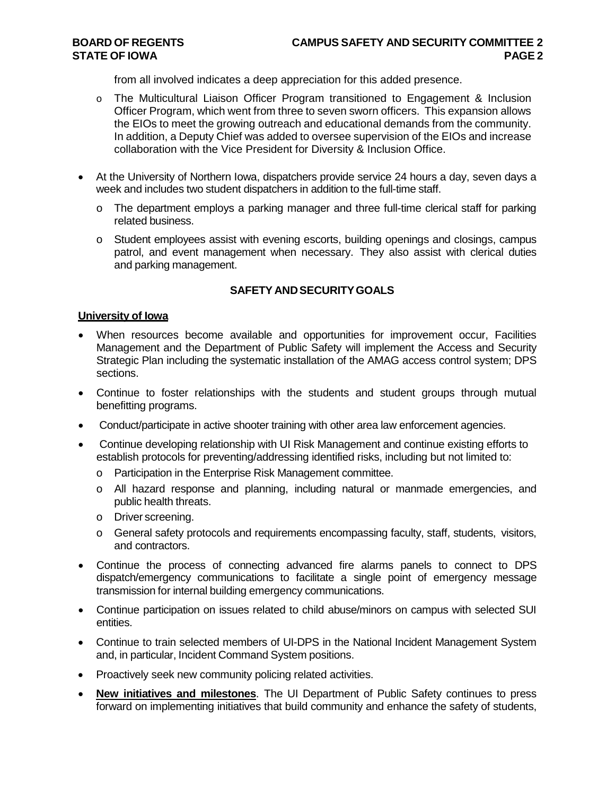from all involved indicates a deep appreciation for this added presence.

- o The Multicultural Liaison Officer Program transitioned to Engagement & Inclusion Officer Program, which went from three to seven sworn officers. This expansion allows the EIOs to meet the growing outreach and educational demands from the community. In addition, a Deputy Chief was added to oversee supervision of the EIOs and increase collaboration with the Vice President for Diversity & Inclusion Office.
- At the University of Northern Iowa, dispatchers provide service 24 hours a day, seven days a week and includes two student dispatchers in addition to the full-time staff.
	- $\circ$  The department employs a parking manager and three full-time clerical staff for parking related business.
	- o Student employees assist with evening escorts, building openings and closings, campus patrol, and event management when necessary. They also assist with clerical duties and parking management.

# **SAFETY ANDSECURITYGOALS**

#### **University of Iowa**

- When resources become available and opportunities for improvement occur, Facilities Management and the Department of Public Safety will implement the Access and Security Strategic Plan including the systematic installation of the AMAG access control system; DPS sections.
- Continue to foster relationships with the students and student groups through mutual benefitting programs.
- Conduct/participate in active shooter training with other area law enforcement agencies.
- Continue developing relationship with UI Risk Management and continue existing efforts to establish protocols for preventing/addressing identified risks, including but not limited to:
	- o Participation in the Enterprise Risk Management committee.
	- o All hazard response and planning, including natural or manmade emergencies, and public health threats.
	- o Driver screening.
	- o General safety protocols and requirements encompassing faculty, staff, students, visitors, and contractors.
- Continue the process of connecting advanced fire alarms panels to connect to DPS dispatch/emergency communications to facilitate a single point of emergency message transmission for internal building emergency communications.
- Continue participation on issues related to child abuse/minors on campus with selected SUI entities.
- Continue to train selected members of UI-DPS in the National Incident Management System and, in particular, Incident Command System positions.
- Proactively seek new community policing related activities.
- **New initiatives and milestones**. The UI Department of Public Safety continues to press forward on implementing initiatives that build community and enhance the safety of students,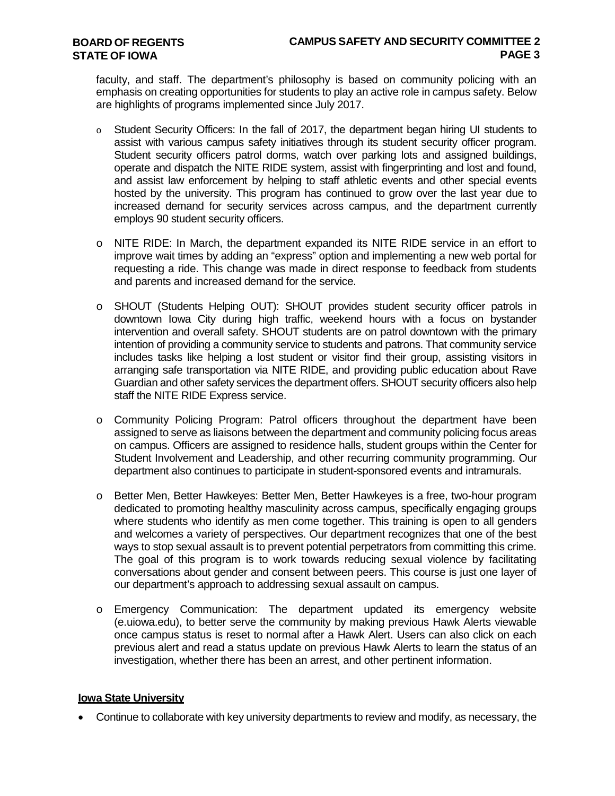faculty, and staff. The department's philosophy is based on community policing with an emphasis on creating opportunities for students to play an active role in campus safety. Below are highlights of programs implemented since July 2017.

- o Student Security Officers: In the fall of 2017, the department began hiring UI students to assist with various campus safety initiatives through its student security officer program. Student security officers patrol dorms, watch over parking lots and assigned buildings, operate and dispatch the NITE RIDE system, assist with fingerprinting and lost and found, and assist law enforcement by helping to staff athletic events and other special events hosted by the university. This program has continued to grow over the last year due to increased demand for security services across campus, and the department currently employs 90 student security officers.
- o NITE RIDE: In March, the department expanded its NITE RIDE service in an effort to improve wait times by adding an "express" option and implementing a new web portal for requesting a ride. This change was made in direct response to feedback from students and parents and increased demand for the service.
- o SHOUT (Students Helping OUT): SHOUT provides student security officer patrols in downtown Iowa City during high traffic, weekend hours with a focus on bystander intervention and overall safety. SHOUT students are on patrol downtown with the primary intention of providing a community service to students and patrons. That community service includes tasks like helping a lost student or visitor find their group, assisting visitors in arranging safe transportation via NITE RIDE, and providing public education about Rave Guardian and other safety services the department offers. SHOUT security officers also help staff the NITE RIDE Express service.
- o Community Policing Program: Patrol officers throughout the department have been assigned to serve as liaisons between the department and community policing focus areas on campus. Officers are assigned to residence halls, student groups within the Center for Student Involvement and Leadership, and other recurring community programming. Our department also continues to participate in student-sponsored events and intramurals.
- o Better Men, Better Hawkeyes: Better Men, Better Hawkeyes is a free, two-hour program dedicated to promoting healthy masculinity across campus, specifically engaging groups where students who identify as men come together. This training is open to all genders and welcomes a variety of perspectives. Our department recognizes that one of the best ways to stop sexual assault is to prevent potential perpetrators from committing this crime. The goal of this program is to work towards reducing sexual violence by facilitating conversations about gender and consent between peers. This course is just one layer of our department's approach to addressing sexual assault on campus.
- o Emergency Communication: The department updated its emergency website (e.uiowa.edu), to better serve the community by making previous Hawk Alerts viewable once campus status is reset to normal after a Hawk Alert. Users can also click on each previous alert and read a status update on previous Hawk Alerts to learn the status of an investigation, whether there has been an arrest, and other pertinent information.

#### **Iowa State University**

• Continue to collaborate with key university departments to review and modify, as necessary, the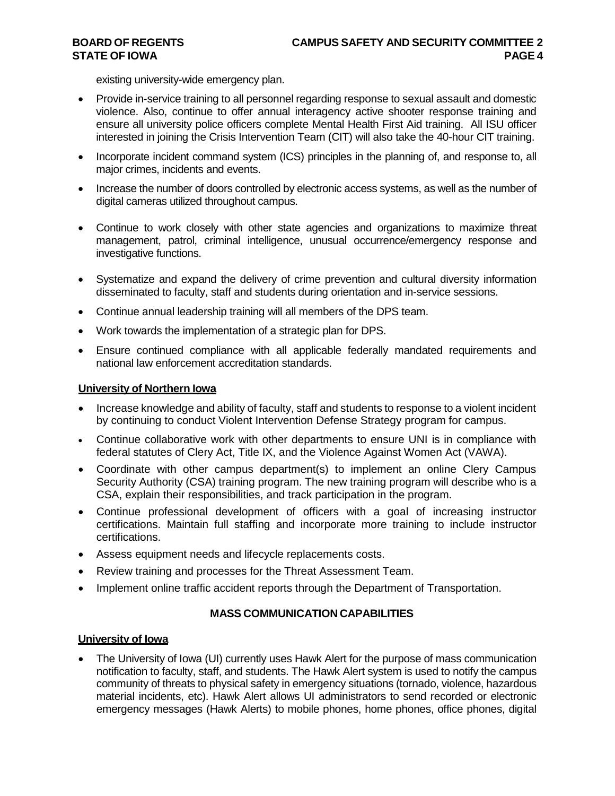existing university-wide emergency plan.

- Provide in-service training to all personnel regarding response to sexual assault and domestic violence. Also, continue to offer annual interagency active shooter response training and ensure all university police officers complete Mental Health First Aid training. All ISU officer interested in joining the Crisis Intervention Team (CIT) will also take the 40-hour CIT training.
- Incorporate incident command system (ICS) principles in the planning of, and response to, all major crimes, incidents and events.
- Increase the number of doors controlled by electronic access systems, as well as the number of digital cameras utilized throughout campus.
- Continue to work closely with other state agencies and organizations to maximize threat management, patrol, criminal intelligence, unusual occurrence/emergency response and investigative functions.
- Systematize and expand the delivery of crime prevention and cultural diversity information disseminated to faculty, staff and students during orientation and in-service sessions.
- Continue annual leadership training will all members of the DPS team.
- Work towards the implementation of a strategic plan for DPS.
- Ensure continued compliance with all applicable federally mandated requirements and national law enforcement accreditation standards.

#### **University of Northern Iowa**

- Increase knowledge and ability of faculty, staff and students to response to a violent incident by continuing to conduct Violent Intervention Defense Strategy program for campus.
- Continue collaborative work with other departments to ensure UNI is in compliance with federal statutes of Clery Act, Title IX, and the Violence Against Women Act (VAWA).
- Coordinate with other campus department(s) to implement an online Clery Campus Security Authority (CSA) training program. The new training program will describe who is a CSA, explain their responsibilities, and track participation in the program.
- Continue professional development of officers with a goal of increasing instructor certifications. Maintain full staffing and incorporate more training to include instructor certifications.
- Assess equipment needs and lifecycle replacements costs.
- Review training and processes for the Threat Assessment Team.
- Implement online traffic accident reports through the Department of Transportation.

#### **MASS COMMUNICATION CAPABILITIES**

#### **University of Iowa**

• The University of Iowa (UI) currently uses Hawk Alert for the purpose of mass communication notification to faculty, staff, and students. The Hawk Alert system is used to notify the campus community of threats to physical safety in emergency situations (tornado, violence, hazardous material incidents, etc). Hawk Alert allows UI administrators to send recorded or electronic emergency messages (Hawk Alerts) to mobile phones, home phones, office phones, digital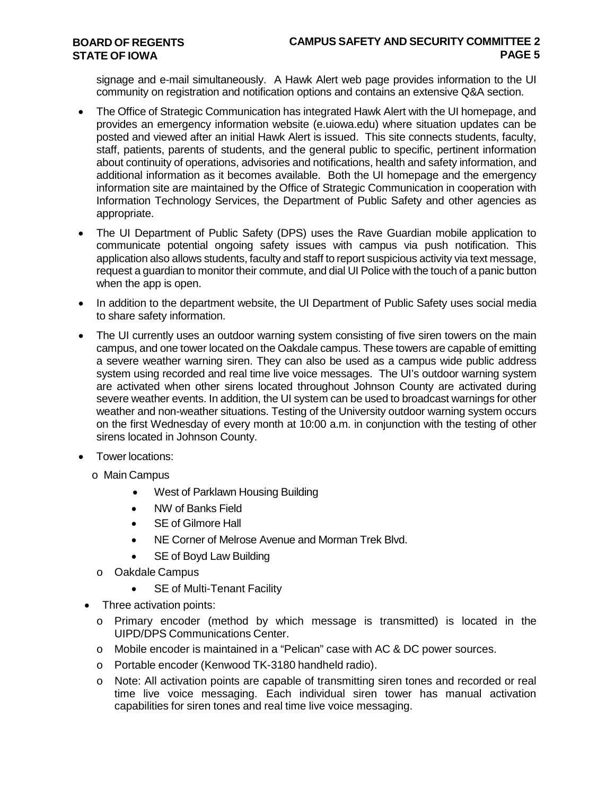# **CAMPUS SAFETY AND SECURITY COMMITTEE 2 PAGE 5**

signage and e-mail simultaneously. A Hawk Alert web page provides information to the UI community on registration and notification options and contains an extensive Q&A section.

- The Office of Strategic Communication has integrated Hawk Alert with the UI homepage, and provides an emergency information website (e.uiowa.edu) where situation updates can be posted and viewed after an initial Hawk Alert is issued. This site connects students, faculty, staff, patients, parents of students, and the general public to specific, pertinent information about continuity of operations, advisories and notifications, health and safety information, and additional information as it becomes available. Both the UI homepage and the emergency information site are maintained by the Office of Strategic Communication in cooperation with Information Technology Services, the Department of Public Safety and other agencies as appropriate.
- The UI Department of Public Safety (DPS) uses the Rave Guardian mobile application to communicate potential ongoing safety issues with campus via push notification. This application also allows students, faculty and staff to report suspicious activity via text message, request a guardian to monitor their commute, and dial UI Police with the touch of a panic button when the app is open.
- In addition to the department website, the UI Department of Public Safety uses social media to share safety information.
- The UI currently uses an outdoor warning system consisting of five siren towers on the main campus, and one tower located on the Oakdale campus. These towers are capable of emitting a severe weather warning siren. They can also be used as a campus wide public address system using recorded and real time live voice messages. The UI's outdoor warning system are activated when other sirens located throughout Johnson County are activated during severe weather events. In addition, the UI system can be used to broadcast warnings for other weather and non-weather situations. Testing of the University outdoor warning system occurs on the first Wednesday of every month at 10:00 a.m. in conjunction with the testing of other sirens located in Johnson County.
- Tower locations:
	- o Main Campus
		- West of Parklawn Housing Building
		- NW of Banks Field
		- SE of Gilmore Hall
		- NE Corner of Melrose Avenue and Morman Trek Blvd.
		- SE of Boyd Law Building
		- o Oakdale Campus
			- SE of Multi-Tenant Facility
- Three activation points:
	- o Primary encoder (method by which message is transmitted) is located in the UIPD/DPS Communications Center.
	- o Mobile encoder is maintained in a "Pelican" case with AC & DC power sources.
	- o Portable encoder (Kenwood TK-3180 handheld radio).
	- o Note: All activation points are capable of transmitting siren tones and recorded or real time live voice messaging. Each individual siren tower has manual activation capabilities for siren tones and real time live voice messaging.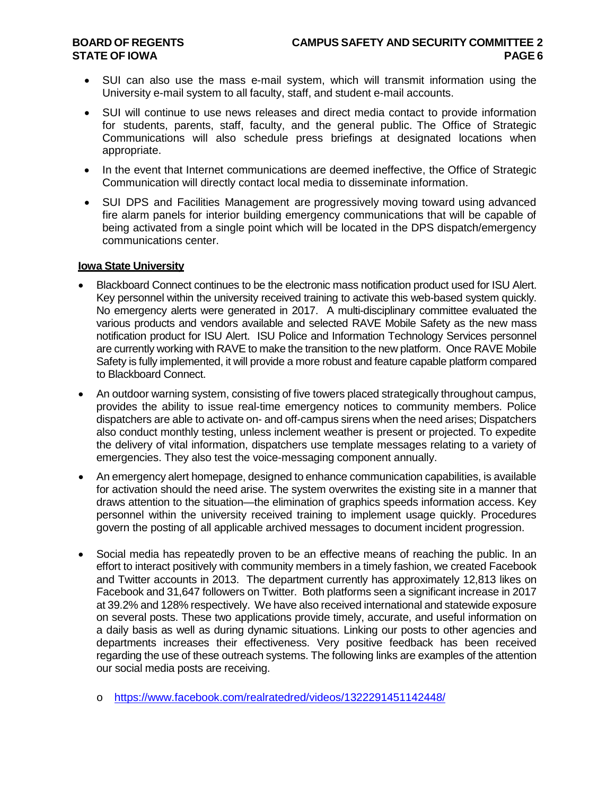- SUI can also use the mass e-mail system, which will transmit information using the University e-mail system to all faculty, staff, and student e-mail accounts.
- SUI will continue to use news releases and direct media contact to provide information for students, parents, staff, faculty, and the general public. The Office of Strategic Communications will also schedule press briefings at designated locations when appropriate.
- In the event that Internet communications are deemed ineffective, the Office of Strategic Communication will directly contact local media to disseminate information.
- SUI DPS and Facilities Management are progressively moving toward using advanced fire alarm panels for interior building emergency communications that will be capable of being activated from a single point which will be located in the DPS dispatch/emergency communications center.

#### **Iowa State University**

- Blackboard Connect continues to be the electronic mass notification product used for ISU Alert. Key personnel within the university received training to activate this web-based system quickly. No emergency alerts were generated in 2017. A multi-disciplinary committee evaluated the various products and vendors available and selected RAVE Mobile Safety as the new mass notification product for ISU Alert. ISU Police and Information Technology Services personnel are currently working with RAVE to make the transition to the new platform. Once RAVE Mobile Safety is fully implemented, it will provide a more robust and feature capable platform compared to Blackboard Connect.
- An outdoor warning system, consisting of five towers placed strategically throughout campus, provides the ability to issue real-time emergency notices to community members. Police dispatchers are able to activate on- and off-campus sirens when the need arises; Dispatchers also conduct monthly testing, unless inclement weather is present or projected. To expedite the delivery of vital information, dispatchers use template messages relating to a variety of emergencies. They also test the voice-messaging component annually.
- An emergency alert homepage, designed to enhance communication capabilities, is available for activation should the need arise. The system overwrites the existing site in a manner that draws attention to the situation—the elimination of graphics speeds information access. Key personnel within the university received training to implement usage quickly. Procedures govern the posting of all applicable archived messages to document incident progression.
- Social media has repeatedly proven to be an effective means of reaching the public. In an effort to interact positively with community members in a timely fashion, we created Facebook and Twitter accounts in 2013. The department currently has approximately 12,813 likes on Facebook and 31,647 followers on Twitter. Both platforms seen a significant increase in 2017 at 39.2% and 128% respectively. We have also received international and statewide exposure on several posts. These two applications provide timely, accurate, and useful information on a daily basis as well as during dynamic situations. Linking our posts to other agencies and departments increases their effectiveness. Very positive feedback has been received regarding the use of these outreach systems. The following links are examples of the attention our social media posts are receiving.
	- o <https://www.facebook.com/realratedred/videos/1322291451142448/>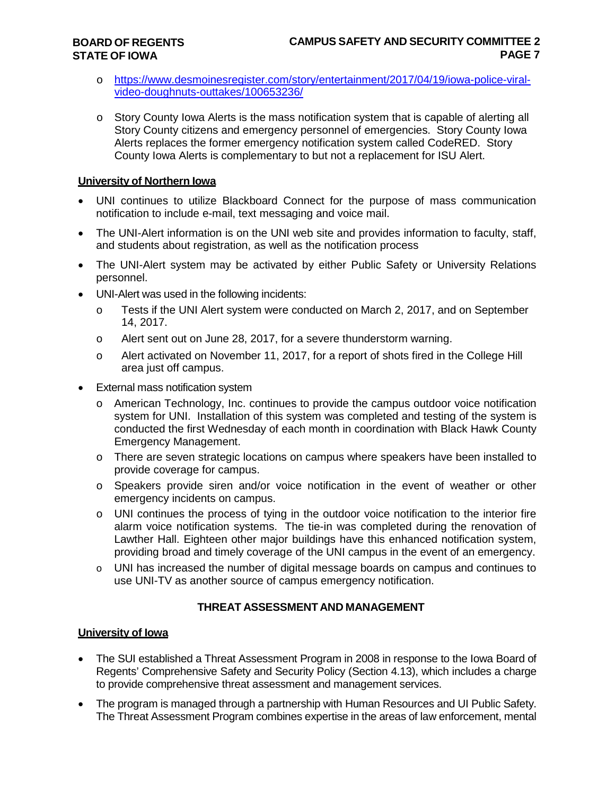- o [https://www.desmoinesregister.com/story/entertainment/2017/04/19/iowa-police-viral](https://www.desmoinesregister.com/story/entertainment/2017/04/19/iowa-police-viral-video-doughnuts-outtakes/100653236/)[video-doughnuts-outtakes/100653236/](https://www.desmoinesregister.com/story/entertainment/2017/04/19/iowa-police-viral-video-doughnuts-outtakes/100653236/)
- o Story County Iowa Alerts is the mass notification system that is capable of alerting all Story County citizens and emergency personnel of emergencies. Story County Iowa Alerts replaces the former emergency notification system called CodeRED. Story County Iowa Alerts is complementary to but not a replacement for ISU Alert.

# **University of Northern Iowa**

- UNI continues to utilize Blackboard Connect for the purpose of mass communication notification to include e-mail, text messaging and voice mail.
- The UNI-Alert information is on the UNI web site and provides information to faculty, staff, and students about registration, as well as the notification process
- The UNI-Alert system may be activated by either Public Safety or University Relations personnel.
- UNI-Alert was used in the following incidents:
	- o Tests if the UNI Alert system were conducted on March 2, 2017, and on September 14, 2017.
	- o Alert sent out on June 28, 2017, for a severe thunderstorm warning.
	- o Alert activated on November 11, 2017, for a report of shots fired in the College Hill area just off campus.
- External mass notification system
	- o American Technology, Inc. continues to provide the campus outdoor voice notification system for UNI. Installation of this system was completed and testing of the system is conducted the first Wednesday of each month in coordination with Black Hawk County Emergency Management.
	- o There are seven strategic locations on campus where speakers have been installed to provide coverage for campus.
	- o Speakers provide siren and/or voice notification in the event of weather or other emergency incidents on campus.
	- o UNI continues the process of tying in the outdoor voice notification to the interior fire alarm voice notification systems. The tie-in was completed during the renovation of Lawther Hall. Eighteen other major buildings have this enhanced notification system, providing broad and timely coverage of the UNI campus in the event of an emergency.
	- o UNI has increased the number of digital message boards on campus and continues to use UNI-TV as another source of campus emergency notification.

# **THREAT ASSESSMENT AND MANAGEMENT**

# **University of Iowa**

- The SUI established a Threat Assessment Program in 2008 in response to the Iowa Board of Regents' Comprehensive Safety and Security Policy (Section 4.13), which includes a charge to provide comprehensive threat assessment and management services.
- The program is managed through a partnership with Human Resources and UI Public Safety. The Threat Assessment Program combines expertise in the areas of law enforcement, mental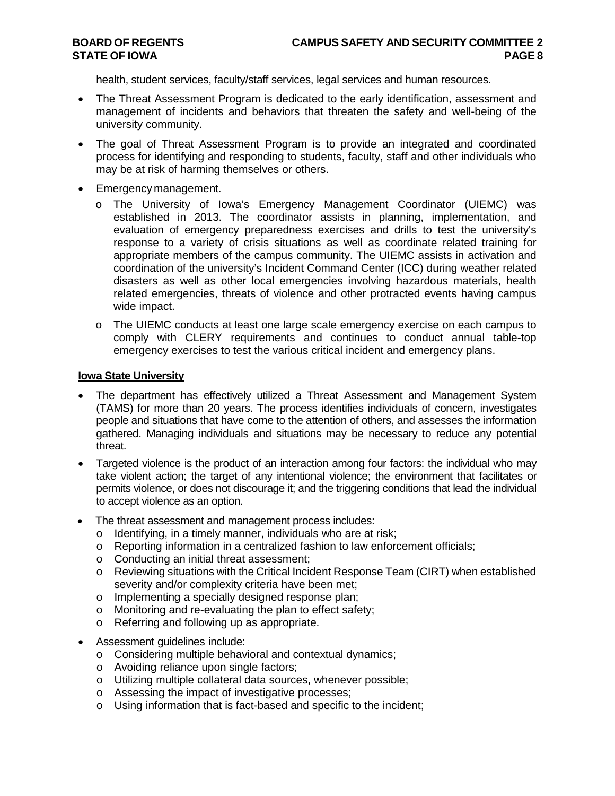health, student services, faculty/staff services, legal services and human resources.

- The Threat Assessment Program is dedicated to the early identification, assessment and management of incidents and behaviors that threaten the safety and well-being of the university community.
- The goal of Threat Assessment Program is to provide an integrated and coordinated process for identifying and responding to students, faculty, staff and other individuals who may be at risk of harming themselves or others.
- Emergency management.
	- o The University of Iowa's Emergency Management Coordinator (UIEMC) was established in 2013. The coordinator assists in planning, implementation, and evaluation of emergency preparedness exercises and drills to test the university's response to a variety of crisis situations as well as coordinate related training for appropriate members of the campus community. The UIEMC assists in activation and coordination of the university's Incident Command Center (ICC) during weather related disasters as well as other local emergencies involving hazardous materials, health related emergencies, threats of violence and other protracted events having campus wide impact.
	- o The UIEMC conducts at least one large scale emergency exercise on each campus to comply with CLERY requirements and continues to conduct annual table-top emergency exercises to test the various critical incident and emergency plans.

#### **Iowa State University**

- The department has effectively utilized a Threat Assessment and Management System (TAMS) for more than 20 years. The process identifies individuals of concern, investigates people and situations that have come to the attention of others, and assesses the information gathered. Managing individuals and situations may be necessary to reduce any potential threat.
- Targeted violence is the product of an interaction among four factors: the individual who may take violent action; the target of any intentional violence; the environment that facilitates or permits violence, or does not discourage it; and the triggering conditions that lead the individual to accept violence as an option.
- The threat assessment and management process includes:
	- o Identifying, in a timely manner, individuals who are at risk;
	- $\circ$  Reporting information in a centralized fashion to law enforcement officials;
	- o Conducting an initial threat assessment;
	- o Reviewing situations with the Critical Incident Response Team (CIRT) when established severity and/or complexity criteria have been met;
	- o Implementing a specially designed response plan;<br>o Monitoring and re-evaluating the plan to effect safe
	- Monitoring and re-evaluating the plan to effect safety:
	- o Referring and following up as appropriate.
- Assessment guidelines include:
	- o Considering multiple behavioral and contextual dynamics;
	- o Avoiding reliance upon single factors;
	- o Utilizing multiple collateral data sources, whenever possible;
	- o Assessing the impact of investigative processes;
	- o Using information that is fact-based and specific to the incident;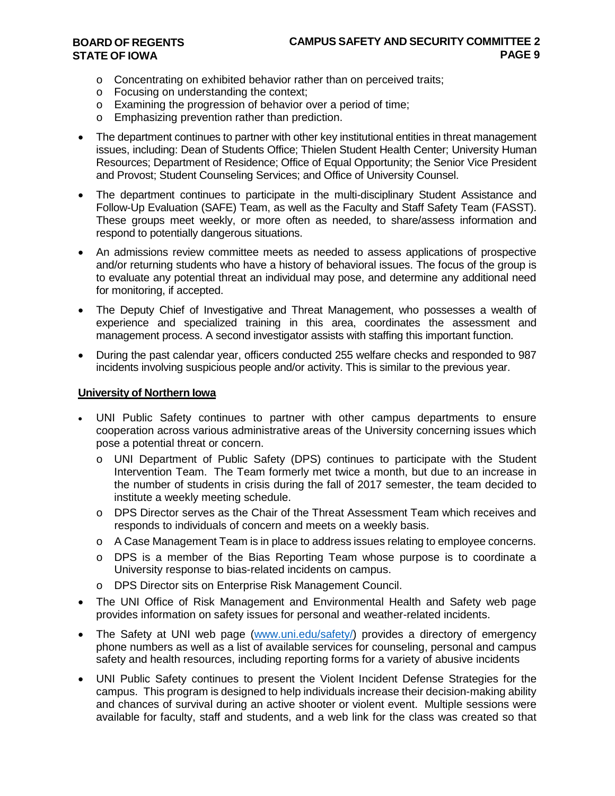- o Concentrating on exhibited behavior rather than on perceived traits;
- o Focusing on understanding the context;
- o Examining the progression of behavior over a period of time;
- o Emphasizing prevention rather than prediction.
- The department continues to partner with other key institutional entities in threat management issues, including: Dean of Students Office; Thielen Student Health Center; University Human Resources; Department of Residence; Office of Equal Opportunity; the Senior Vice President and Provost; Student Counseling Services; and Office of University Counsel.
- The department continues to participate in the multi-disciplinary Student Assistance and Follow-Up Evaluation (SAFE) Team, as well as the Faculty and Staff Safety Team (FASST). These groups meet weekly, or more often as needed, to share/assess information and respond to potentially dangerous situations.
- An admissions review committee meets as needed to assess applications of prospective and/or returning students who have a history of behavioral issues. The focus of the group is to evaluate any potential threat an individual may pose, and determine any additional need for monitoring, if accepted.
- The Deputy Chief of Investigative and Threat Management, who possesses a wealth of experience and specialized training in this area, coordinates the assessment and management process. A second investigator assists with staffing this important function.
- During the past calendar year, officers conducted 255 welfare checks and responded to 987 incidents involving suspicious people and/or activity. This is similar to the previous year.

#### **University of Northern Iowa**

- UNI Public Safety continues to partner with other campus departments to ensure cooperation across various administrative areas of the University concerning issues which pose a potential threat or concern.
	- o UNI Department of Public Safety (DPS) continues to participate with the Student Intervention Team. The Team formerly met twice a month, but due to an increase in the number of students in crisis during the fall of 2017 semester, the team decided to institute a weekly meeting schedule.
	- o DPS Director serves as the Chair of the Threat Assessment Team which receives and responds to individuals of concern and meets on a weekly basis.
	- o A Case Management Team is in place to address issues relating to employee concerns.
	- o DPS is a member of the Bias Reporting Team whose purpose is to coordinate a University response to bias-related incidents on campus.
	- o DPS Director sits on Enterprise Risk Management Council.
- The UNI Office of Risk Management and Environmental Health and Safety web page provides information on safety issues for personal and weather-related incidents.
- The Safety at UNI web page [\(www.uni.edu/safety/\)](http://www.uni.edu/safety/) provides a directory of emergency phone numbers as well as a list of available services for counseling, personal and campus safety and health resources, including reporting forms for a variety of abusive incidents
- UNI Public Safety continues to present the Violent Incident Defense Strategies for the campus. This program is designed to help individuals increase their decision-making ability and chances of survival during an active shooter or violent event. Multiple sessions were available for faculty, staff and students, and a web link for the class was created so that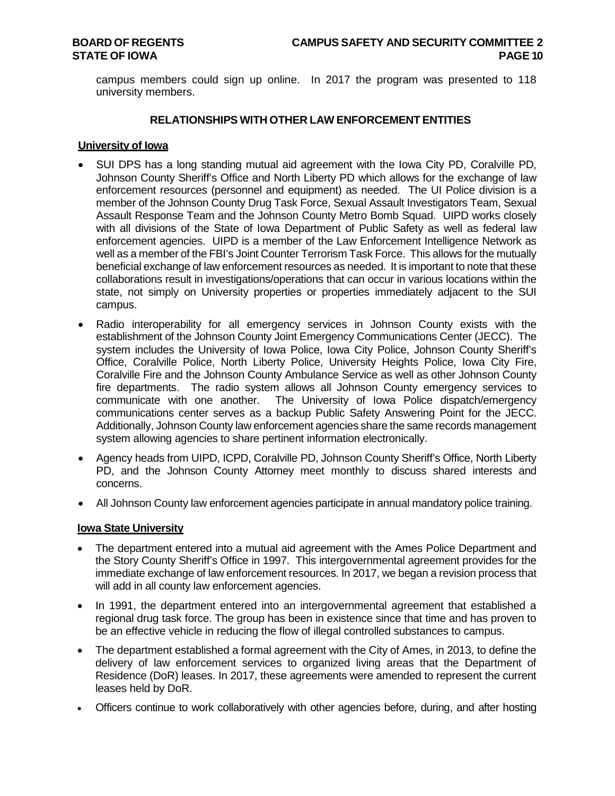campus members could sign up online. In 2017 the program was presented to 118 university members.

### **RELATIONSHIPS WITH OTHER LAW ENFORCEMENT ENTITIES**

### **University of Iowa**

- SUI DPS has a long standing mutual aid agreement with the Iowa City PD, Coralville PD, Johnson County Sheriff's Office and North Liberty PD which allows for the exchange of law enforcement resources (personnel and equipment) as needed. The UI Police division is a member of the Johnson County Drug Task Force, Sexual Assault Investigators Team, Sexual Assault Response Team and the Johnson County Metro Bomb Squad. UIPD works closely with all divisions of the State of Iowa Department of Public Safety as well as federal law enforcement agencies. UIPD is a member of the Law Enforcement Intelligence Network as well as a member of the FBI's Joint Counter Terrorism Task Force. This allows for the mutually beneficial exchange of law enforcement resources as needed. It is important to note that these collaborations result in investigations/operations that can occur in various locations within the state, not simply on University properties or properties immediately adjacent to the SUI campus.
- Radio interoperability for all emergency services in Johnson County exists with the establishment of the Johnson County Joint Emergency Communications Center (JECC). The system includes the University of Iowa Police, Iowa City Police, Johnson County Sheriff's Office, Coralville Police, North Liberty Police, University Heights Police, Iowa City Fire, Coralville Fire and the Johnson County Ambulance Service as well as other Johnson County fire departments. The radio system allows all Johnson County emergency services to communicate with one another. The University of Iowa Police dispatch/emergency communications center serves as a backup Public Safety Answering Point for the JECC. Additionally, Johnson County law enforcement agencies share the same records management system allowing agencies to share pertinent information electronically.
- Agency heads from UIPD, ICPD, Coralville PD, Johnson County Sheriff's Office, North Liberty PD, and the Johnson County Attorney meet monthly to discuss shared interests and concerns.
- All Johnson County law enforcement agencies participate in annual mandatory police training.

#### **Iowa State University**

- The department entered into a mutual aid agreement with the Ames Police Department and the Story County Sheriff's Office in 1997. This intergovernmental agreement provides for the immediate exchange of law enforcement resources. In 2017, we began a revision process that will add in all county law enforcement agencies.
- In 1991, the department entered into an intergovernmental agreement that established a regional drug task force. The group has been in existence since that time and has proven to be an effective vehicle in reducing the flow of illegal controlled substances to campus.
- The department established a formal agreement with the City of Ames, in 2013, to define the delivery of law enforcement services to organized living areas that the Department of Residence (DoR) leases. In 2017, these agreements were amended to represent the current leases held by DoR.
- Officers continue to work collaboratively with other agencies before, during, and after hosting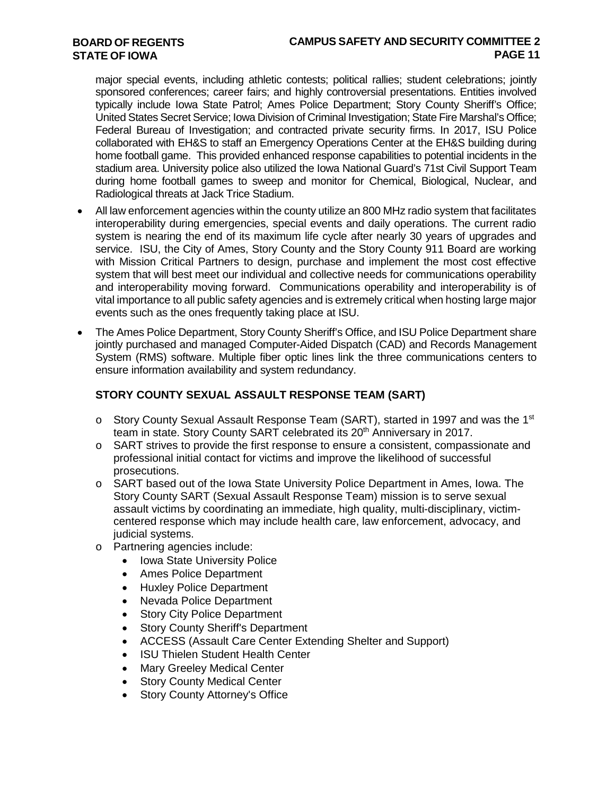# **CAMPUS SAFETY AND SECURITY COMMITTEE 2 PAGE 11**

major special events, including athletic contests; political rallies; student celebrations; jointly sponsored conferences; career fairs; and highly controversial presentations. Entities involved typically include Iowa State Patrol; Ames Police Department; Story County Sheriff's Office; United States Secret Service; Iowa Division of Criminal Investigation; State Fire Marshal's Office; Federal Bureau of Investigation; and contracted private security firms. In 2017, ISU Police collaborated with EH&S to staff an Emergency Operations Center at the EH&S building during home football game. This provided enhanced response capabilities to potential incidents in the stadium area. University police also utilized the Iowa National Guard's 71st Civil Support Team during home football games to sweep and monitor for Chemical, Biological, Nuclear, and Radiological threats at Jack Trice Stadium.

- All law enforcement agencies within the county utilize an 800 MHz radio system that facilitates interoperability during emergencies, special events and daily operations. The current radio system is nearing the end of its maximum life cycle after nearly 30 years of upgrades and service. ISU, the City of Ames, Story County and the Story County 911 Board are working with Mission Critical Partners to design, purchase and implement the most cost effective system that will best meet our individual and collective needs for communications operability and interoperability moving forward. Communications operability and interoperability is of vital importance to all public safety agencies and is extremely critical when hosting large major events such as the ones frequently taking place at ISU.
- The Ames Police Department, Story County Sheriff's Office, and ISU Police Department share jointly purchased and managed Computer-Aided Dispatch (CAD) and Records Management System (RMS) software. Multiple fiber optic lines link the three communications centers to ensure information availability and system redundancy.

# **STORY COUNTY SEXUAL ASSAULT RESPONSE TEAM (SART)**

- o Story County Sexual Assault Response Team (SART), started in 1997 and was the 1st team in state. Story County SART celebrated its 20<sup>th</sup> Anniversary in 2017.
- o SART strives to provide the first response to ensure a consistent, compassionate and professional initial contact for victims and improve the likelihood of successful prosecutions.
- o SART based out of the Iowa State University Police Department in Ames, Iowa. The Story County SART (Sexual Assault Response Team) mission is to serve sexual assault victims by coordinating an immediate, high quality, multi-disciplinary, victimcentered response which may include health care, law enforcement, advocacy, and judicial systems.
- o Partnering agencies include:
	- Iowa State University Police
	- Ames Police Department
	- Huxley Police Department
	- Nevada Police Department
	- Story City Police Department
	- Story County Sheriff's Department
	- ACCESS (Assault Care Center Extending Shelter and Support)
	- ISU Thielen Student Health Center
	- Mary Greeley Medical Center
	- **Story County Medical Center**
	- Story County Attorney's Office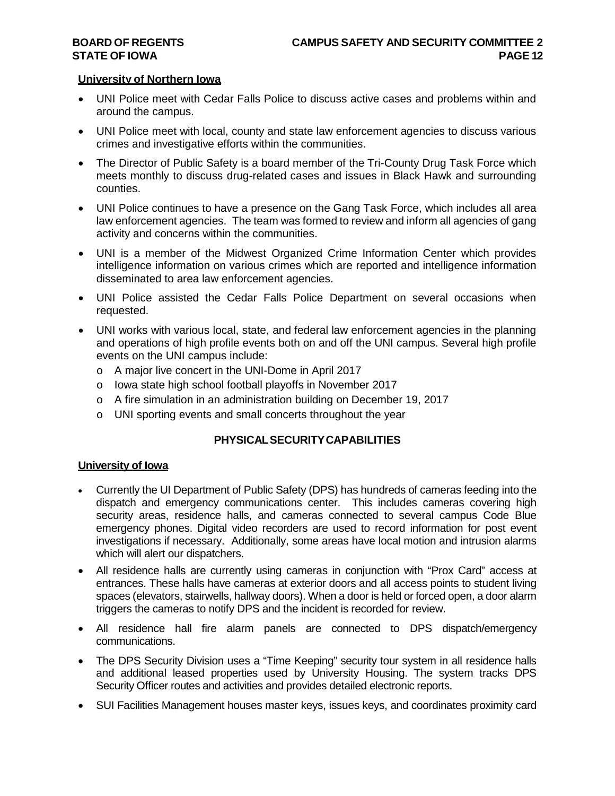### **University of Northern Iowa**

- UNI Police meet with Cedar Falls Police to discuss active cases and problems within and around the campus.
- UNI Police meet with local, county and state law enforcement agencies to discuss various crimes and investigative efforts within the communities.
- The Director of Public Safety is a board member of the Tri-County Drug Task Force which meets monthly to discuss drug-related cases and issues in Black Hawk and surrounding counties.
- UNI Police continues to have a presence on the Gang Task Force, which includes all area law enforcement agencies. The team was formed to review and inform all agencies of gang activity and concerns within the communities.
- UNI is a member of the Midwest Organized Crime Information Center which provides intelligence information on various crimes which are reported and intelligence information disseminated to area law enforcement agencies.
- UNI Police assisted the Cedar Falls Police Department on several occasions when requested.
- UNI works with various local, state, and federal law enforcement agencies in the planning and operations of high profile events both on and off the UNI campus. Several high profile events on the UNI campus include:
	- o A major live concert in the UNI-Dome in April 2017
	- o Iowa state high school football playoffs in November 2017
	- o A fire simulation in an administration building on December 19, 2017
	- o UNI sporting events and small concerts throughout the year

# **PHYSICALSECURITYCAPABILITIES**

# **University of Iowa**

- Currently the UI Department of Public Safety (DPS) has hundreds of cameras feeding into the dispatch and emergency communications center. This includes cameras covering high security areas, residence halls, and cameras connected to several campus Code Blue emergency phones. Digital video recorders are used to record information for post event investigations if necessary. Additionally, some areas have local motion and intrusion alarms which will alert our dispatchers.
- All residence halls are currently using cameras in conjunction with "Prox Card" access at entrances. These halls have cameras at exterior doors and all access points to student living spaces (elevators, stairwells, hallway doors). When a door is held or forced open, a door alarm triggers the cameras to notify DPS and the incident is recorded for review.
- All residence hall fire alarm panels are connected to DPS dispatch/emergency communications.
- The DPS Security Division uses a "Time Keeping" security tour system in all residence halls and additional leased properties used by University Housing. The system tracks DPS Security Officer routes and activities and provides detailed electronic reports.
- SUI Facilities Management houses master keys, issues keys, and coordinates proximity card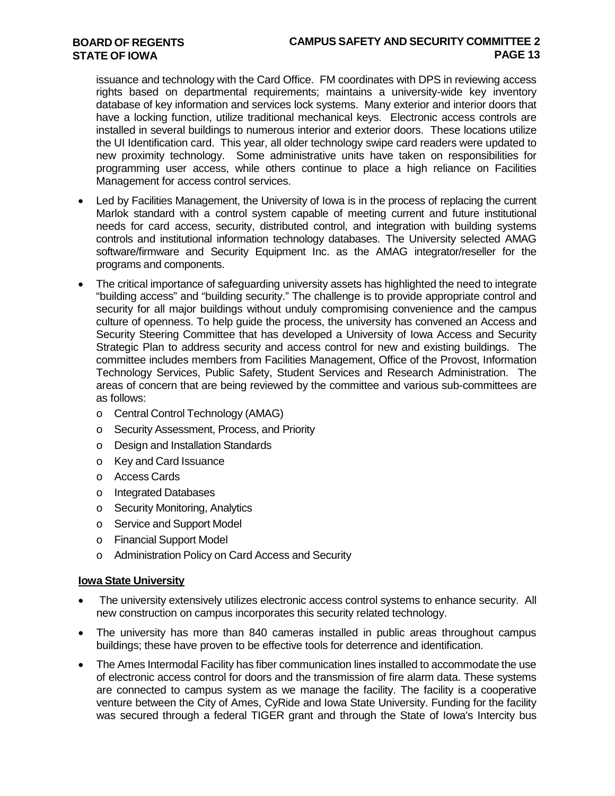issuance and technology with the Card Office. FM coordinates with DPS in reviewing access rights based on departmental requirements; maintains a university-wide key inventory database of key information and services lock systems. Many exterior and interior doors that have a locking function, utilize traditional mechanical keys. Electronic access controls are installed in several buildings to numerous interior and exterior doors. These locations utilize the UI Identification card. This year, all older technology swipe card readers were updated to new proximity technology. Some administrative units have taken on responsibilities for programming user access, while others continue to place a high reliance on Facilities Management for access control services.

- Led by Facilities Management, the University of Iowa is in the process of replacing the current Marlok standard with a control system capable of meeting current and future institutional needs for card access, security, distributed control, and integration with building systems controls and institutional information technology databases. The University selected AMAG software/firmware and Security Equipment Inc. as the AMAG integrator/reseller for the programs and components.
- The critical importance of safeguarding university assets has highlighted the need to integrate "building access" and "building security." The challenge is to provide appropriate control and security for all major buildings without unduly compromising convenience and the campus culture of openness. To help guide the process, the university has convened an Access and Security Steering Committee that has developed a University of Iowa Access and Security Strategic Plan to address security and access control for new and existing buildings. The committee includes members from Facilities Management, Office of the Provost, Information Technology Services, Public Safety, Student Services and Research Administration. The areas of concern that are being reviewed by the committee and various sub-committees are as follows:
	- o Central Control Technology (AMAG)
	- o Security Assessment, Process, and Priority
	- o Design and Installation Standards
	- o Key and Card Issuance
	- o Access Cards
	- o Integrated Databases
	- o Security Monitoring, Analytics
	- o Service and Support Model
	- o Financial Support Model
	- o Administration Policy on Card Access and Security

#### **Iowa State University**

- The university extensively utilizes electronic access control systems to enhance security. All new construction on campus incorporates this security related technology.
- The university has more than 840 cameras installed in public areas throughout campus buildings; these have proven to be effective tools for deterrence and identification.
- The Ames Intermodal Facility has fiber communication lines installed to accommodate the use of electronic access control for doors and the transmission of fire alarm data. These systems are connected to campus system as we manage the facility. The facility is a cooperative venture between the City of Ames, CyRide and Iowa State University. Funding for the facility was secured through a federal TIGER grant and through the State of Iowa's Intercity bus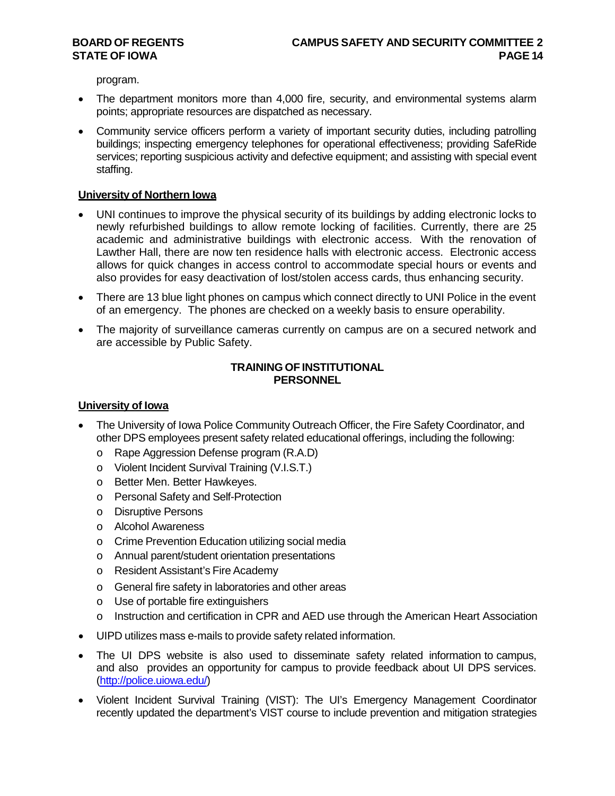program.

- The department monitors more than 4,000 fire, security, and environmental systems alarm points; appropriate resources are dispatched as necessary.
- Community service officers perform a variety of important security duties, including patrolling buildings; inspecting emergency telephones for operational effectiveness; providing SafeRide services; reporting suspicious activity and defective equipment; and assisting with special event staffing.

#### **University of Northern Iowa**

- UNI continues to improve the physical security of its buildings by adding electronic locks to newly refurbished buildings to allow remote locking of facilities. Currently, there are 25 academic and administrative buildings with electronic access. With the renovation of Lawther Hall, there are now ten residence halls with electronic access. Electronic access allows for quick changes in access control to accommodate special hours or events and also provides for easy deactivation of lost/stolen access cards, thus enhancing security.
- There are 13 blue light phones on campus which connect directly to UNI Police in the event of an emergency. The phones are checked on a weekly basis to ensure operability.
- The majority of surveillance cameras currently on campus are on a secured network and are accessible by Public Safety.

#### **TRAINING OF INSTITUTIONAL PERSONNEL**

#### **University of Iowa**

- The University of Iowa Police Community Outreach Officer, the Fire Safety Coordinator, and other DPS employees present safety related educational offerings, including the following:
	- o Rape Aggression Defense program (R.A.D)
	- o Violent Incident Survival Training (V.I.S.T.)
	- o Better Men. Better Hawkeyes.
	- o Personal Safety and Self-Protection
	- o Disruptive Persons
	- o Alcohol Awareness
	- o Crime Prevention Education utilizing social media
	- o Annual parent/student orientation presentations
	- o Resident Assistant's Fire Academy
	- o General fire safety in laboratories and other areas
	- o Use of portable fire extinguishers
	- $\circ$  Instruction and certification in CPR and AED use through the American Heart Association
- UIPD utilizes mass e-mails to provide safety related information.
- The UI DPS website is also used to disseminate safety related information to campus, and also provides an opportunity for campus to provide feedback about UI DPS services. [\(http://police.uiowa.edu/\)](http://police.uiowa.edu/))
- Violent Incident Survival Training (VIST): The UI's Emergency Management Coordinator recently updated the department's VIST course to include prevention and mitigation strategies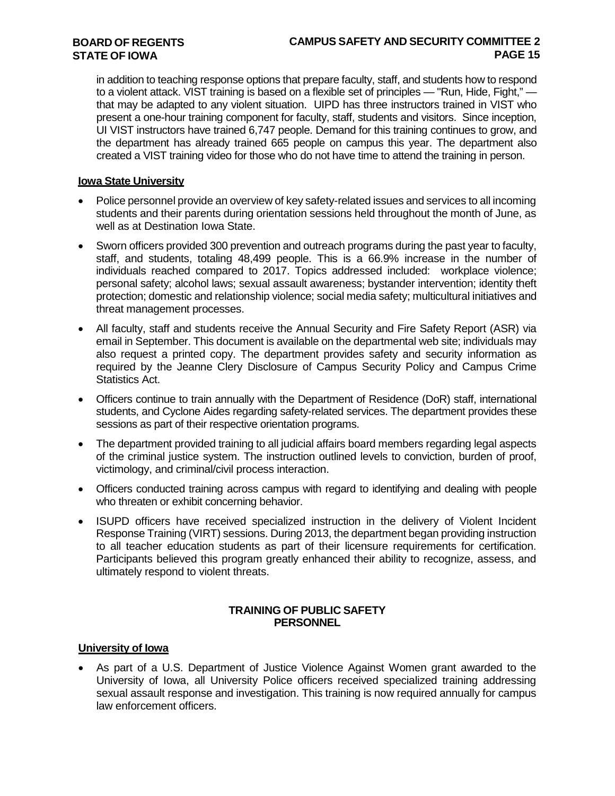# **CAMPUS SAFETY AND SECURITY COMMITTEE 2 PAGE 15**

in addition to teaching response options that prepare faculty, staff, and students how to respond to a violent attack. VIST training is based on a flexible set of principles — "Run, Hide, Fight," that may be adapted to any violent situation. UIPD has three instructors trained in VIST who present a one-hour training component for faculty, staff, students and visitors. Since inception, UI VIST instructors have trained 6,747 people. Demand for this training continues to grow, and the department has already trained 665 people on campus this year. The department also created a VIST training video for those who do not have time to attend the training in person.

#### **Iowa State University**

- Police personnel provide an overview of key safety-related issues and services to all incoming students and their parents during orientation sessions held throughout the month of June, as well as at Destination Iowa State.
- Sworn officers provided 300 prevention and outreach programs during the past year to faculty, staff, and students, totaling 48,499 people. This is a 66.9% increase in the number of individuals reached compared to 2017. Topics addressed included: workplace violence; personal safety; alcohol laws; sexual assault awareness; bystander intervention; identity theft protection; domestic and relationship violence; social media safety; multicultural initiatives and threat management processes.
- All faculty, staff and students receive the Annual Security and Fire Safety Report (ASR) via email in September. This document is available on the departmental web site; individuals may also request a printed copy. The department provides safety and security information as required by the Jeanne Clery Disclosure of Campus Security Policy and Campus Crime Statistics Act.
- Officers continue to train annually with the Department of Residence (DoR) staff, international students, and Cyclone Aides regarding safety-related services. The department provides these sessions as part of their respective orientation programs.
- The department provided training to all judicial affairs board members regarding legal aspects of the criminal justice system. The instruction outlined levels to conviction, burden of proof, victimology, and criminal/civil process interaction.
- Officers conducted training across campus with regard to identifying and dealing with people who threaten or exhibit concerning behavior.
- ISUPD officers have received specialized instruction in the delivery of Violent Incident Response Training (VIRT) sessions. During 2013, the department began providing instruction to all teacher education students as part of their licensure requirements for certification. Participants believed this program greatly enhanced their ability to recognize, assess, and ultimately respond to violent threats.

# **TRAINING OF PUBLIC SAFETY PERSONNEL**

#### **University of Iowa**

• As part of a U.S. Department of Justice Violence Against Women grant awarded to the University of Iowa, all University Police officers received specialized training addressing sexual assault response and investigation. This training is now required annually for campus law enforcement officers.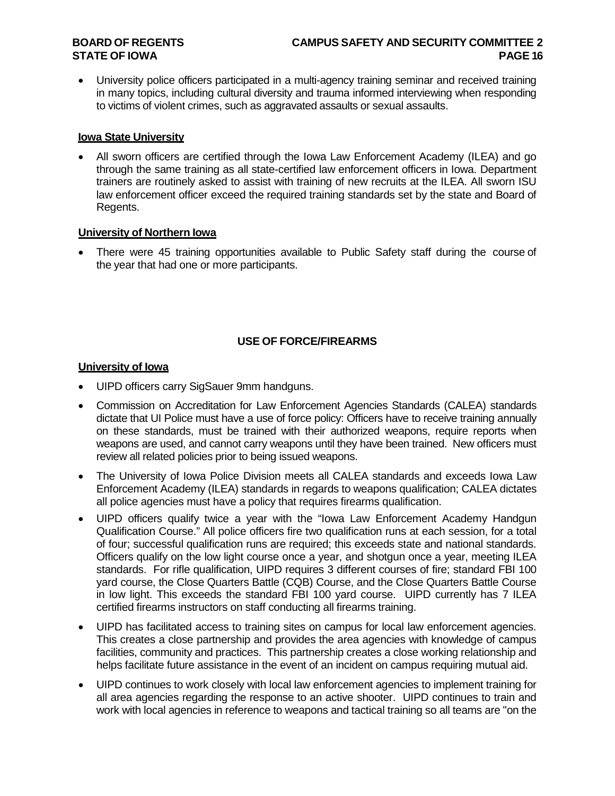• University police officers participated in a multi-agency training seminar and received training in many topics, including cultural diversity and trauma informed interviewing when responding to victims of violent crimes, such as aggravated assaults or sexual assaults.

# **Iowa State University**

• All sworn officers are certified through the Iowa Law Enforcement Academy (ILEA) and go through the same training as all state-certified law enforcement officers in Iowa. Department trainers are routinely asked to assist with training of new recruits at the ILEA. All sworn ISU law enforcement officer exceed the required training standards set by the state and Board of Regents.

#### **University of Northern Iowa**

• There were 45 training opportunities available to Public Safety staff during the course of the year that had one or more participants.

# **USE OF FORCE/FIREARMS**

# **University of Iowa**

- UIPD officers carry SigSauer 9mm handguns.
- Commission on Accreditation for Law Enforcement Agencies Standards (CALEA) standards dictate that UI Police must have a use of force policy: Officers have to receive training annually on these standards, must be trained with their authorized weapons, require reports when weapons are used, and cannot carry weapons until they have been trained. New officers must review all related policies prior to being issued weapons.
- The University of Iowa Police Division meets all CALEA standards and exceeds Iowa Law Enforcement Academy (ILEA) standards in regards to weapons qualification; CALEA dictates all police agencies must have a policy that requires firearms qualification.
- UIPD officers qualify twice a year with the "Iowa Law Enforcement Academy Handgun Qualification Course." All police officers fire two qualification runs at each session, for a total of four; successful qualification runs are required; this exceeds state and national standards. Officers qualify on the low light course once a year, and shotgun once a year, meeting ILEA standards. For rifle qualification, UIPD requires 3 different courses of fire; standard FBI 100 yard course, the Close Quarters Battle (CQB) Course, and the Close Quarters Battle Course in low light. This exceeds the standard FBI 100 yard course. UIPD currently has 7 ILEA certified firearms instructors on staff conducting all firearms training.
- UIPD has facilitated access to training sites on campus for local law enforcement agencies. This creates a close partnership and provides the area agencies with knowledge of campus facilities, community and practices. This partnership creates a close working relationship and helps facilitate future assistance in the event of an incident on campus requiring mutual aid.
- UIPD continues to work closely with local law enforcement agencies to implement training for all area agencies regarding the response to an active shooter. UIPD continues to train and work with local agencies in reference to weapons and tactical training so all teams are "on the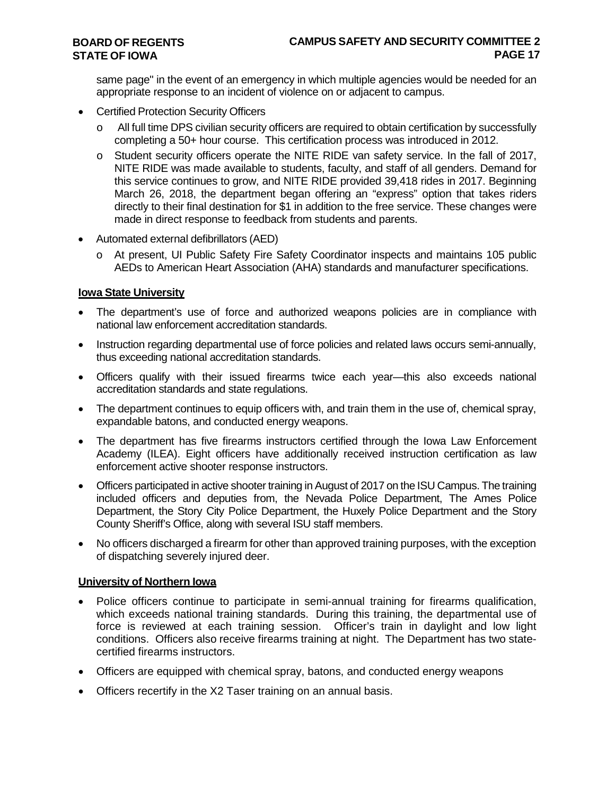same page" in the event of an emergency in which multiple agencies would be needed for an appropriate response to an incident of violence on or adjacent to campus.

- Certified Protection Security Officers
	- o All full time DPS civilian security officers are required to obtain certification by successfully completing a 50+ hour course. This certification process was introduced in 2012.
	- o Student security officers operate the NITE RIDE van safety service. In the fall of 2017, NITE RIDE was made available to students, faculty, and staff of all genders. Demand for this service continues to grow, and NITE RIDE provided 39,418 rides in 2017. Beginning March 26, 2018, the department began offering an "express" option that takes riders directly to their final destination for \$1 in addition to the free service. These changes were made in direct response to feedback from students and parents.
- Automated external defibrillators (AED)
	- o At present, UI Public Safety Fire Safety Coordinator inspects and maintains 105 public AEDs to American Heart Association (AHA) standards and manufacturer specifications.

# **Iowa State University**

- The department's use of force and authorized weapons policies are in compliance with national law enforcement accreditation standards.
- Instruction regarding departmental use of force policies and related laws occurs semi-annually, thus exceeding national accreditation standards.
- Officers qualify with their issued firearms twice each year—this also exceeds national accreditation standards and state regulations.
- The department continues to equip officers with, and train them in the use of, chemical spray, expandable batons, and conducted energy weapons.
- The department has five firearms instructors certified through the Iowa Law Enforcement Academy (ILEA). Eight officers have additionally received instruction certification as law enforcement active shooter response instructors.
- Officers participated in active shooter training in August of 2017 on the ISU Campus. The training included officers and deputies from, the Nevada Police Department, The Ames Police Department, the Story City Police Department, the Huxely Police Department and the Story County Sheriff's Office, along with several ISU staff members.
- No officers discharged a firearm for other than approved training purposes, with the exception of dispatching severely injured deer.

# **University of Northern Iowa**

- Police officers continue to participate in semi-annual training for firearms qualification, which exceeds national training standards. During this training, the departmental use of force is reviewed at each training session. Officer's train in daylight and low light conditions. Officers also receive firearms training at night. The Department has two statecertified firearms instructors.
- Officers are equipped with chemical spray, batons, and conducted energy weapons
- Officers recertify in the X2 Taser training on an annual basis.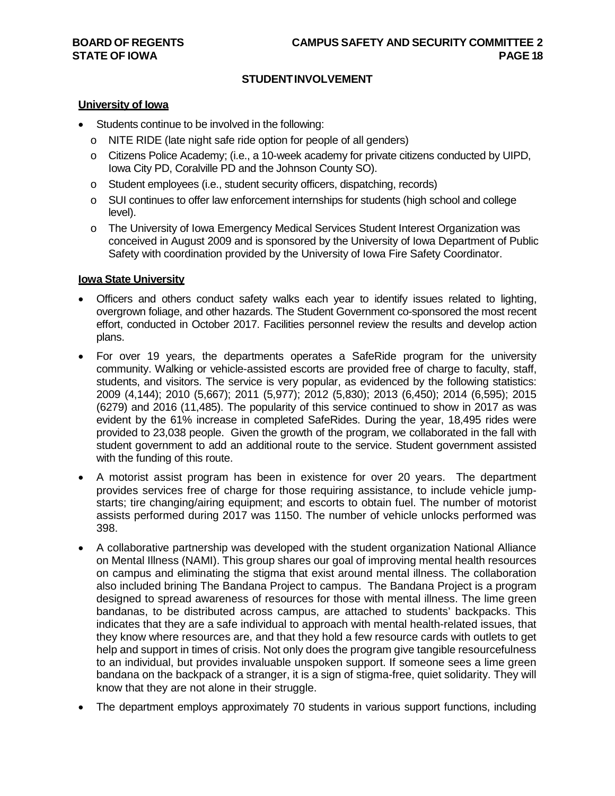# **STUDENTINVOLVEMENT**

#### **University of Iowa**

- Students continue to be involved in the following:
	- o NITE RIDE (late night safe ride option for people of all genders)
	- o Citizens Police Academy; (i.e., a 10-week academy for private citizens conducted by UIPD, Iowa City PD, Coralville PD and the Johnson County SO).
	- o Student employees (i.e., student security officers, dispatching, records)
	- o SUI continues to offer law enforcement internships for students (high school and college level).
	- o The University of Iowa Emergency Medical Services Student Interest Organization was conceived in August 2009 and is sponsored by the University of Iowa Department of Public Safety with coordination provided by the University of Iowa Fire Safety Coordinator.

#### **Iowa State University**

- Officers and others conduct safety walks each year to identify issues related to lighting, overgrown foliage, and other hazards. The Student Government co-sponsored the most recent effort, conducted in October 2017. Facilities personnel review the results and develop action plans.
- For over 19 years, the departments operates a SafeRide program for the university community. Walking or vehicle-assisted escorts are provided free of charge to faculty, staff, students, and visitors. The service is very popular, as evidenced by the following statistics: 2009 (4,144); 2010 (5,667); 2011 (5,977); 2012 (5,830); 2013 (6,450); 2014 (6,595); 2015 (6279) and 2016 (11,485). The popularity of this service continued to show in 2017 as was evident by the 61% increase in completed SafeRides. During the year, 18,495 rides were provided to 23,038 people. Given the growth of the program, we collaborated in the fall with student government to add an additional route to the service. Student government assisted with the funding of this route.
- A motorist assist program has been in existence for over 20 years. The department provides services free of charge for those requiring assistance, to include vehicle jumpstarts; tire changing/airing equipment; and escorts to obtain fuel. The number of motorist assists performed during 2017 was 1150. The number of vehicle unlocks performed was 398.
- A collaborative partnership was developed with the student organization National Alliance on Mental Illness (NAMI). This group shares our goal of improving mental health resources on campus and eliminating the stigma that exist around mental illness. The collaboration also included brining The Bandana Project to campus. The Bandana Project is a program designed to spread awareness of resources for those with mental illness. The lime green bandanas, to be distributed across campus, are attached to students' backpacks. This indicates that they are a safe individual to approach with mental health-related issues, that they know where resources are, and that they hold a few resource cards with outlets to get help and support in times of crisis. Not only does the program give tangible resourcefulness to an individual, but provides invaluable unspoken support. If someone sees a lime green bandana on the backpack of a stranger, it is a sign of stigma-free, quiet solidarity. They will know that they are not alone in their struggle.
- The department employs approximately 70 students in various support functions, including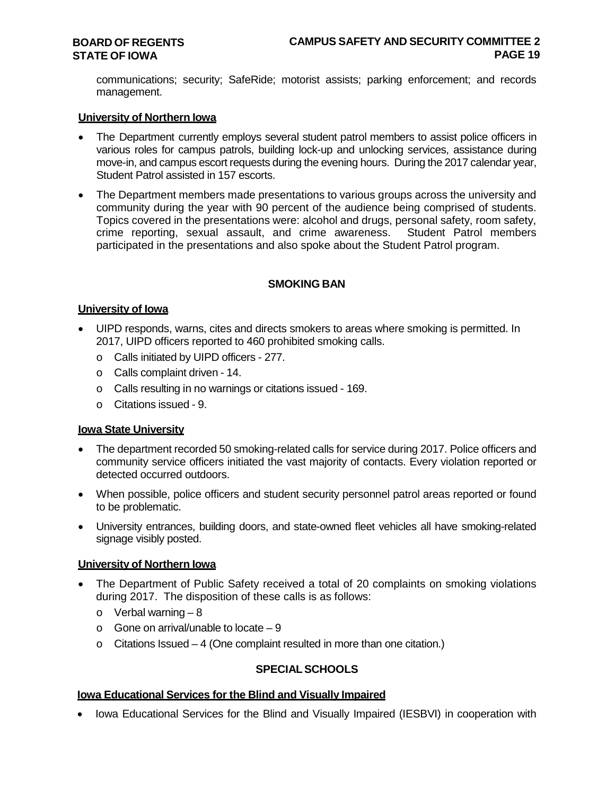communications; security; SafeRide; motorist assists; parking enforcement; and records management.

#### **University of Northern Iowa**

- The Department currently employs several student patrol members to assist police officers in various roles for campus patrols, building lock-up and unlocking services, assistance during move-in, and campus escort requests during the evening hours. During the 2017 calendar year, Student Patrol assisted in 157 escorts.
- The Department members made presentations to various groups across the university and community during the year with 90 percent of the audience being comprised of students. Topics covered in the presentations were: alcohol and drugs, personal safety, room safety, crime reporting, sexual assault, and crime awareness. participated in the presentations and also spoke about the Student Patrol program.

#### **SMOKING BAN**

#### **University of Iowa**

- UIPD responds, warns, cites and directs smokers to areas where smoking is permitted. In 2017, UIPD officers reported to 460 prohibited smoking calls.
	- o Calls initiated by UIPD officers 277.
	- o Calls complaint driven 14.
	- o Calls resulting in no warnings or citations issued 169.
	- o Citations issued 9.

#### **Iowa State University**

- The department recorded 50 smoking-related calls for service during 2017. Police officers and community service officers initiated the vast majority of contacts. Every violation reported or detected occurred outdoors.
- When possible, police officers and student security personnel patrol areas reported or found to be problematic.
- University entrances, building doors, and state-owned fleet vehicles all have smoking-related signage visibly posted.

#### **University of Northern Iowa**

- The Department of Public Safety received a total of 20 complaints on smoking violations during 2017. The disposition of these calls is as follows:
	- $\circ$  Verbal warning  $-8$
	- $\circ$  Gone on arrival/unable to locate  $-9$
	- $\circ$  Citations Issued 4 (One complaint resulted in more than one citation.)

# **SPECIALSCHOOLS**

#### **Iowa Educational Services for the Blind and Visually Impaired**

• Iowa Educational Services for the Blind and Visually Impaired (IESBVI) in cooperation with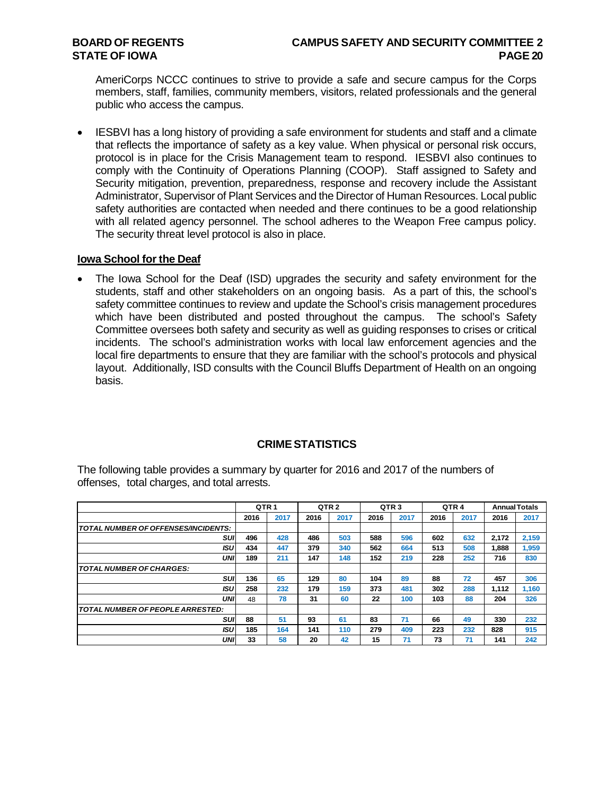AmeriCorps NCCC continues to strive to provide a safe and secure campus for the Corps members, staff, families, community members, visitors, related professionals and the general public who access the campus.

• IESBVI has a long history of providing a safe environment for students and staff and a climate that reflects the importance of safety as a key value. When physical or personal risk occurs, protocol is in place for the Crisis Management team to respond. IESBVI also continues to comply with the Continuity of Operations Planning (COOP). Staff assigned to Safety and Security mitigation, prevention, preparedness, response and recovery include the Assistant Administrator, Supervisor of Plant Services and the Director of Human Resources. Local public safety authorities are contacted when needed and there continues to be a good relationship with all related agency personnel. The school adheres to the Weapon Free campus policy. The security threat level protocol is also in place.

#### **Iowa School for the Deaf**

• The Iowa School for the Deaf (ISD) upgrades the security and safety environment for the students, staff and other stakeholders on an ongoing basis. As a part of this, the school's safety committee continues to review and update the School's crisis management procedures which have been distributed and posted throughout the campus. The school's Safety Committee oversees both safety and security as well as guiding responses to crises or critical incidents. The school's administration works with local law enforcement agencies and the local fire departments to ensure that they are familiar with the school's protocols and physical layout. Additionally, ISD consults with the Council Bluffs Department of Health on an ongoing basis.

# **CRIMESTATISTICS**

The following table provides a summary by quarter for 2016 and 2017 of the numbers of offenses, total charges, and total arrests.

|                                         | QTR <sub>1</sub> |      | QTR <sub>2</sub> |      | QTR <sub>3</sub> |      | QTR <sub>4</sub> |      |       | <b>Annual Totals</b> |
|-----------------------------------------|------------------|------|------------------|------|------------------|------|------------------|------|-------|----------------------|
|                                         | 2016             | 2017 | 2016             | 2017 | 2016             | 2017 | 2016             | 2017 | 2016  | 2017                 |
| TOTAL NUMBER OF OFFENSES/INCIDENTS:     |                  |      |                  |      |                  |      |                  |      |       |                      |
| SUI                                     | 496              | 428  | 486              | 503  | 588              | 596  | 602              | 632  | 2.172 | 2,159                |
| ISU                                     | 434              | 447  | 379              | 340  | 562              | 664  | 513              | 508  | 1.888 | 1,959                |
| UNI                                     | 189              | 211  | 147              | 148  | 152              | 219  | 228              | 252  | 716   | 830                  |
| <b>TOTAL NUMBER OF CHARGES:</b>         |                  |      |                  |      |                  |      |                  |      |       |                      |
| SUI                                     | 136              | 65   | 129              | 80   | 104              | 89   | 88               | 72   | 457   | 306                  |
| ISU                                     | 258              | 232  | 179              | 159  | 373              | 481  | 302              | 288  | 1,112 | 1,160                |
| UNI                                     | 48               | 78   | 31               | 60   | 22               | 100  | 103              | 88   | 204   | 326                  |
| <b>TOTAL NUMBER OF PEOPLE ARRESTED:</b> |                  |      |                  |      |                  |      |                  |      |       |                      |
| SUI                                     | 88               | 51   | 93               | 61   | 83               | 71   | 66               | 49   | 330   | 232                  |
| ISU                                     | 185              | 164  | 141              | 110  | 279              | 409  | 223              | 232  | 828   | 915                  |
| UNI                                     | 33               | 58   | 20               | 42   | 15               | 71   | 73               | 71   | 141   | 242                  |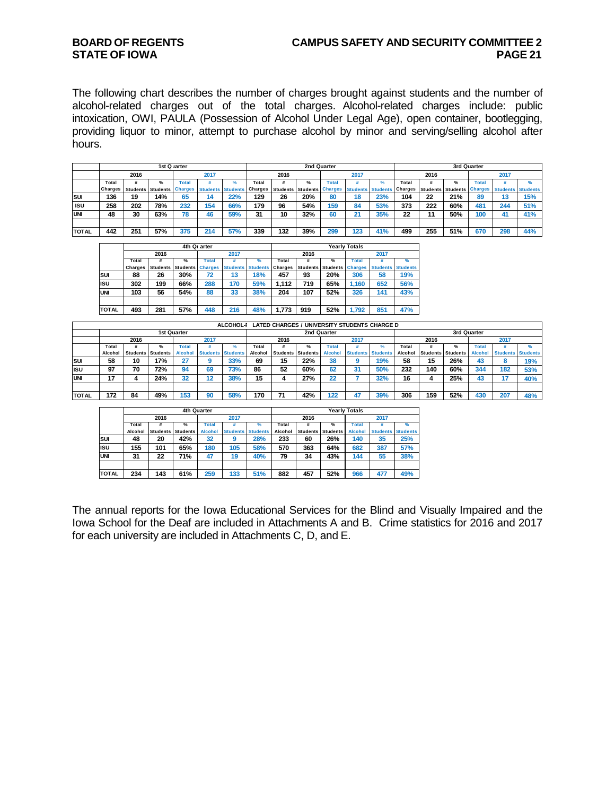# **STATE OF IOWA PAGE 21**

# **BOARD OF REGENTS CAMPUS SAFETY AND SECURITY COMMITTEE 2**

The following chart describes the number of charges brought against students and the number of alcohol-related charges out of the total charges. Alcohol-related charges include: public intoxication, OWI, PAULA (Possession of Alcohol Under Legal Age), open container, bootlegging, providing liquor to minor, attempt to purchase alcohol by minor and serving/selling alcohol after hours.

|              |                |      |                           | 1st Quarter  |                          |     |         |      | 2nd Quarter                      |              |        |                                  |       |                           |               | 3rd Quarter  |                          |     |
|--------------|----------------|------|---------------------------|--------------|--------------------------|-----|---------|------|----------------------------------|--------------|--------|----------------------------------|-------|---------------------------|---------------|--------------|--------------------------|-----|
|              |                | 2016 |                           |              | 2017                     |     |         | 2016 |                                  |              | 2017   |                                  |       | 2016                      |               |              | 2017                     |     |
|              | Total          |      | %                         | <b>Total</b> |                          |     | Total   |      | %                                | <b>Total</b> |        |                                  | Total |                           | $\frac{9}{6}$ | <b>Total</b> |                          |     |
|              | <b>Charges</b> |      | Students Students Charges |              | <b>Students Students</b> |     | Charges |      | <b>Students Students Charges</b> |              |        | <b>Students Students Charges</b> |       | Students Students Charges |               |              | <b>Students Students</b> |     |
| <b>Isur</b>  | 136            | 19   | 14%                       | 65           |                          | 22% | 129     | 26   | 20%                              | 80           | 18     | 23%                              | 104   | 22                        | 21%           | 89           | 10                       | 15% |
| <b>ISU</b>   | 258            | 202  | 78%                       | 232          | 154                      | 66% | 179     | 96   | 54%                              | 159          | 84     | 53%                              | 373   | 222                       | 60%           | 481          | 244                      | 51% |
| <b>UNI</b>   | 48             | 30   | 63%                       | 78           | 46                       | 59% | 31      | 10   | 32%                              | 60           | ິ<br>◢ | 35%                              | 22    |                           | 50%           | 100          | 41                       | 41% |
|              |                |      |                           |              |                          |     |         |      |                                  |              |        |                                  |       |                           |               |              |                          |     |
| <b>TOTAL</b> | 442            | 251  | 57%                       | 375          | 214                      | 57% | 339     | 132  | 39%                              | 299          | 123    | 41%                              | 499   | 255                       | 51%           | 670          | 298                      | 44% |

|              |         |                 |                 | 4th Q <sub>I</sub> arter |                 |          |                |                 |                 | Yearlv Totals  |                 |                 |
|--------------|---------|-----------------|-----------------|--------------------------|-----------------|----------|----------------|-----------------|-----------------|----------------|-----------------|-----------------|
|              |         | 2016            |                 |                          | 2017            |          |                | 2016            |                 |                | 2017            |                 |
|              | Total   | #               | $\frac{9}{6}$   | <b>Total</b>             |                 | $\%$     | Total          |                 | $\frac{9}{6}$   | Total          |                 | $\frac{9}{6}$   |
|              | Charges | <b>Students</b> | <b>Students</b> | <b>Charges</b>           | <b>Students</b> | Students | <b>Charges</b> | <b>Students</b> | <b>Students</b> | <b>Charges</b> | <b>Students</b> | <b>Students</b> |
| SUI          | 88      | 26              | 30%             | 72                       | 13              | 18%      | 457            | 93              | 20%             | 306            | 58              | 19%             |
| <b>ISU</b>   | 302     | 199             | 66%             | 288                      | 170             | 59%      | 1.112          | 719             | 65%             | 1.160          | 652             | 56%             |
| <b>UNI</b>   | 103     | 56              | 54%             | 88                       | 33              | 38%      | 204            | 107             | 52%             | 326            | 141             | 43%             |
|              |         |                 |                 |                          |                 |          |                |                 |                 |                |                 |                 |
| <b>TOTAL</b> | 493     | 281             | 57%             | 448                      | 216             | 48%      | 1.773          | 919             | 52%             | 1.792          | 851             | 47%             |

|              |         |      |                          |                |                          | ALCOHOL-I |         |      | LATED CHARGES / UNIVERSITY STUDENTS CHARGE D |                |                          |     |         |                          |     |                |      |                          |
|--------------|---------|------|--------------------------|----------------|--------------------------|-----------|---------|------|----------------------------------------------|----------------|--------------------------|-----|---------|--------------------------|-----|----------------|------|--------------------------|
|              |         |      | <b>1st Quarter</b>       |                |                          |           |         |      | 2nd Quarter                                  |                |                          |     |         |                          |     | 3rd Quarter    |      |                          |
|              |         | 2016 |                          |                | 2017                     |           |         | 2016 |                                              |                | 2017                     |     |         | 2016                     |     |                | 2017 |                          |
|              | Total   |      | ℆                        | Total          |                          |           | Total   |      | ℀                                            | Total          |                          |     | Total   |                          | ℀   | <b>Total</b>   |      |                          |
|              | Alcohol |      | <b>Students Students</b> | <b>Alcohol</b> | <b>Students Students</b> |           | Alcohol |      | <b>Students Students</b>                     | <b>Alcohol</b> | <b>Students Students</b> |     | Alcohol | <b>Students Students</b> |     | <b>Alcohol</b> |      | <b>Students Students</b> |
| <b>Isul</b>  | 58      | 10   | 17%                      | 27             |                          | 33%       | 69      | 15   | 22%                                          | 38             |                          | 19% | 58      | 15                       | 26% | 43             |      | 19%                      |
| <b>IISU</b>  | 97      | 70   | 72%                      | 94             | 69                       | 73%       | 86      | 52   | 60%                                          | 62             | 31                       | 50% | 232     | 140                      | 60% | 344            | 182  | 53%                      |
| <b>UNI</b>   | 17      |      | 24%                      | 32             | 12                       | 38%       | 15      |      | 27%                                          | 22             |                          | 32% | 16      |                          | 25% | 43             |      | 40%                      |
|              |         |      |                          |                |                          |           |         |      |                                              |                |                          |     |         |                          |     |                |      |                          |
| <b>TOTAL</b> | 172     | 84   | 49%                      | 153            | 90                       | 58%       | 170     | 74   | 42%                                          | 122            |                          | 39% | 306     | 159                      | 52% | 430            | 207  | 48%                      |

|              |         |                          |               | 4th Quarter    |                 |                 |         |                 |                 | <b>Yearly Totals</b> |                 |                 |
|--------------|---------|--------------------------|---------------|----------------|-----------------|-----------------|---------|-----------------|-----------------|----------------------|-----------------|-----------------|
|              |         | 2016                     |               |                | 2017            |                 |         | 2016            |                 |                      | 2017            |                 |
|              | Total   | #                        | $\frac{9}{6}$ | Total          |                 | %               | Total   | #               | $\frac{9}{6}$   | Total                |                 | %               |
|              | Alcohol | <b>Students Students</b> |               | <b>Alcohol</b> | <b>Students</b> | <b>Students</b> | Alcohol | <b>Students</b> | <b>Students</b> | <b>Alcohol</b>       | <b>Students</b> | <b>Students</b> |
| SUI          | 48      | 20                       | 42%           | 32             | 9               | 28%             | 233     | 60              | 26%             | 140                  | 35              | 25%             |
| <b>ISU</b>   | 155     | 101                      | 65%           | 180            | 105             | 58%             | 570     | 363             | 64%             | 682                  | 387             | 57%             |
| <b>UNI</b>   | 31      | 22                       | 71%           | 47             | 19              | 40%             | 79      | 34              | 43%             | 144                  | 55              | 38%             |
|              |         |                          |               |                |                 |                 |         |                 |                 |                      |                 |                 |
| <b>TOTAL</b> | 234     | 143                      | 61%           | 259            | 133             | 51%             | 882     | 457             | 52%             | 966                  | 477             | 49%             |

The annual reports for the Iowa Educational Services for the Blind and Visually Impaired and the Iowa School for the Deaf are included in Attachments A and B. Crime statistics for 2016 and 2017 for each university are included in Attachments C, D, and E.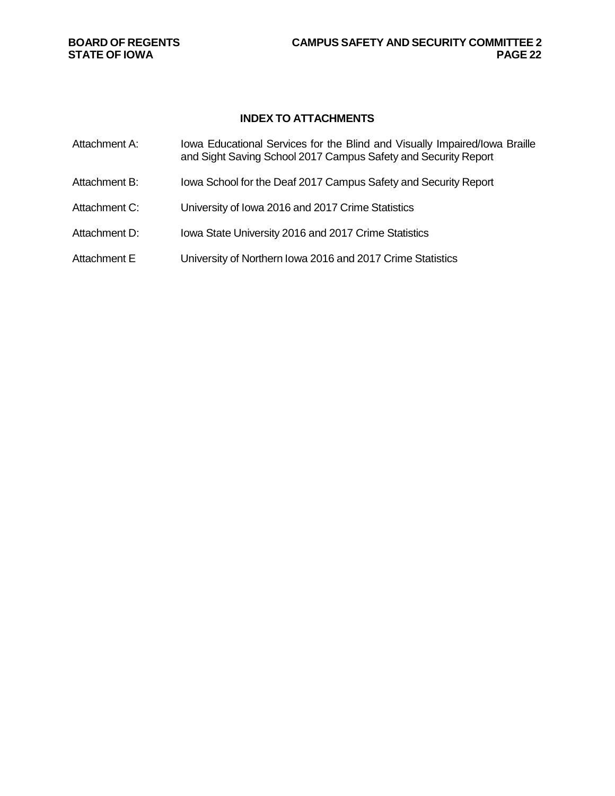**STATE OF IOWA** 

# **INDEX TO ATTACHMENTS**

| Attachment A: | Iowa Educational Services for the Blind and Visually Impaired/Iowa Braille<br>and Sight Saving School 2017 Campus Safety and Security Report |
|---------------|----------------------------------------------------------------------------------------------------------------------------------------------|
| Attachment B: | Iowa School for the Deaf 2017 Campus Safety and Security Report                                                                              |
| Attachment C: | University of Iowa 2016 and 2017 Crime Statistics                                                                                            |
| Attachment D: | Iowa State University 2016 and 2017 Crime Statistics                                                                                         |
| Attachment E  | University of Northern Iowa 2016 and 2017 Crime Statistics                                                                                   |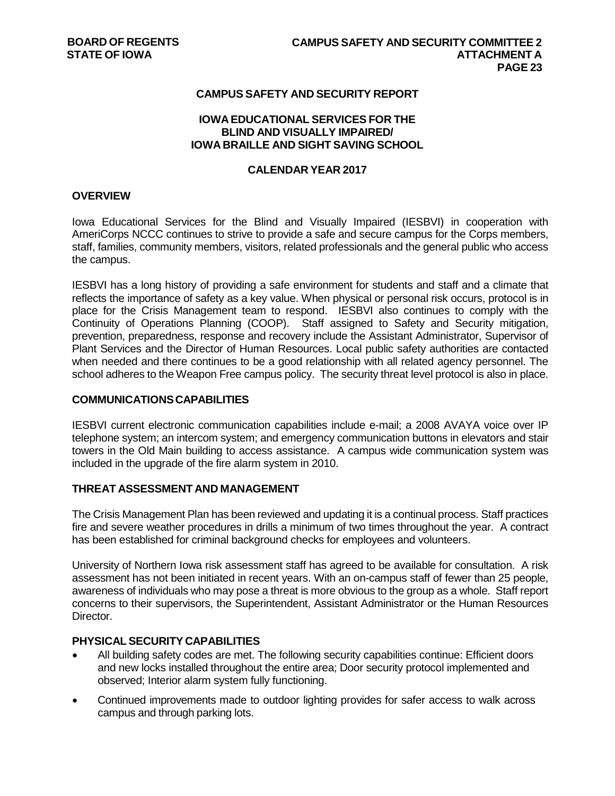# **CAMPUS SAFETY AND SECURITY REPORT**

#### **IOWA EDUCATIONAL SERVICES FOR THE BLIND AND VISUALLY IMPAIRED/ IOWA BRAILLE AND SIGHT SAVING SCHOOL**

#### **CALENDAR YEAR 2017**

# **OVERVIEW**

Iowa Educational Services for the Blind and Visually Impaired (IESBVI) in cooperation with AmeriCorps NCCC continues to strive to provide a safe and secure campus for the Corps members, staff, families, community members, visitors, related professionals and the general public who access the campus.

IESBVI has a long history of providing a safe environment for students and staff and a climate that reflects the importance of safety as a key value. When physical or personal risk occurs, protocol is in place for the Crisis Management team to respond. IESBVI also continues to comply with the Continuity of Operations Planning (COOP). Staff assigned to Safety and Security mitigation, prevention, preparedness, response and recovery include the Assistant Administrator, Supervisor of Plant Services and the Director of Human Resources. Local public safety authorities are contacted when needed and there continues to be a good relationship with all related agency personnel. The school adheres to the Weapon Free campus policy. The security threat level protocol is also in place.

## **COMMUNICATIONSCAPABILITIES**

IESBVI current electronic communication capabilities include e-mail; a 2008 AVAYA voice over IP telephone system; an intercom system; and emergency communication buttons in elevators and stair towers in the Old Main building to access assistance. A campus wide communication system was included in the upgrade of the fire alarm system in 2010.

#### **THREAT ASSESSMENT AND MANAGEMENT**

The Crisis Management Plan has been reviewed and updating it is a continual process. Staff practices fire and severe weather procedures in drills a minimum of two times throughout the year. A contract has been established for criminal background checks for employees and volunteers.

University of Northern Iowa risk assessment staff has agreed to be available for consultation. A risk assessment has not been initiated in recent years. With an on-campus staff of fewer than 25 people, awareness of individuals who may pose a threat is more obvious to the group as a whole. Staff report concerns to their supervisors, the Superintendent, Assistant Administrator or the Human Resources Director.

# **PHYSICALSECURITY CAPABILITIES**

- All building safety codes are met. The following security capabilities continue: Efficient doors and new locks installed throughout the entire area; Door security protocol implemented and observed; Interior alarm system fully functioning.
- Continued improvements made to outdoor lighting provides for safer access to walk across campus and through parking lots.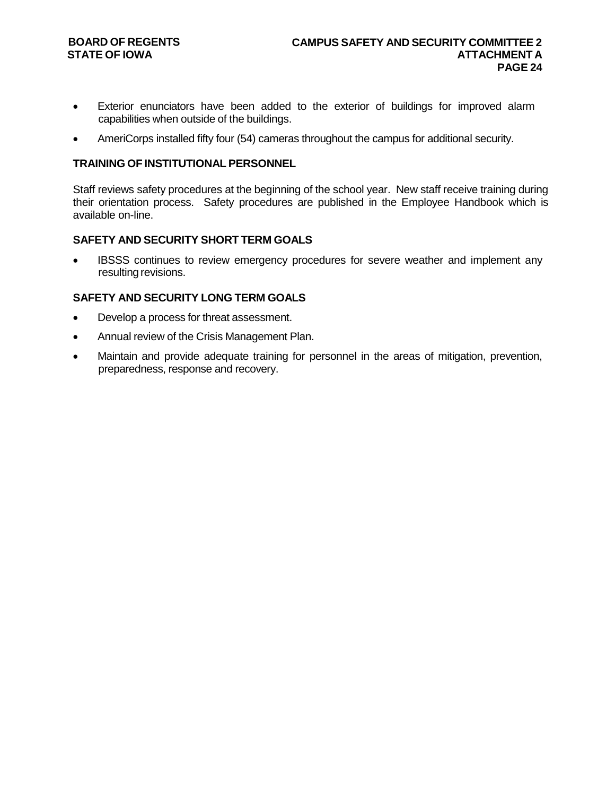# **STATE OF IOWA**

- Exterior enunciators have been added to the exterior of buildings for improved alarm capabilities when outside of the buildings.
- AmeriCorps installed fifty four (54) cameras throughout the campus for additional security.

# **TRAINING OF INSTITUTIONAL PERSONNEL**

Staff reviews safety procedures at the beginning of the school year. New staff receive training during their orientation process. Safety procedures are published in the Employee Handbook which is available on-line.

# **SAFETY AND SECURITY SHORT TERM GOALS**

IBSSS continues to review emergency procedures for severe weather and implement any resulting revisions.

# **SAFETY AND SECURITY LONG TERM GOALS**

- Develop a process for threat assessment.
- Annual review of the Crisis Management Plan.
- Maintain and provide adequate training for personnel in the areas of mitigation, prevention, preparedness, response and recovery.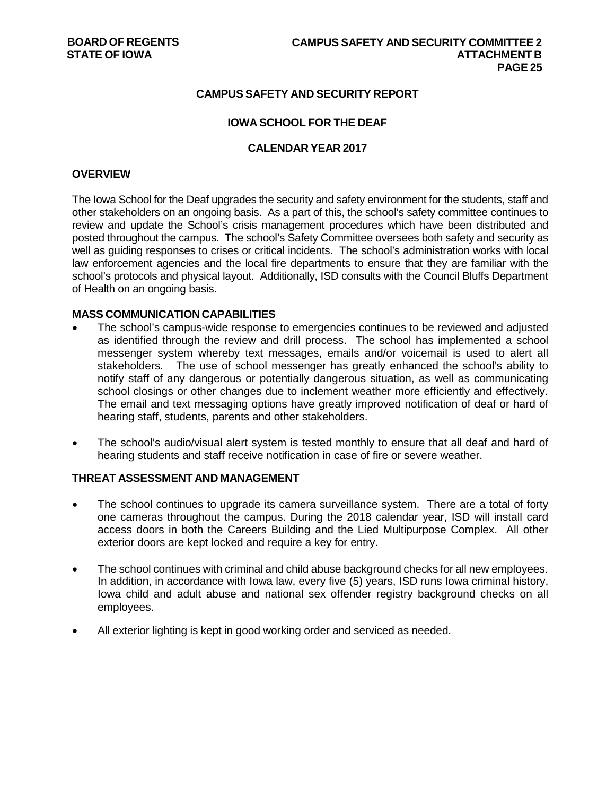# **CAMPUS SAFETY AND SECURITY REPORT**

### **IOWA SCHOOL FOR THE DEAF**

#### **CALENDAR YEAR 2017**

#### **OVERVIEW**

The Iowa School for the Deaf upgrades the security and safety environment for the students, staff and other stakeholders on an ongoing basis. As a part of this, the school's safety committee continues to review and update the School's crisis management procedures which have been distributed and posted throughout the campus. The school's Safety Committee oversees both safety and security as well as guiding responses to crises or critical incidents. The school's administration works with local law enforcement agencies and the local fire departments to ensure that they are familiar with the school's protocols and physical layout. Additionally, ISD consults with the Council Bluffs Department of Health on an ongoing basis.

#### **MASS COMMUNICATION CAPABILITIES**

- The school's campus-wide response to emergencies continues to be reviewed and adjusted as identified through the review and drill process. The school has implemented a school messenger system whereby text messages, emails and/or voicemail is used to alert all stakeholders. The use of school messenger has greatly enhanced the school's ability to notify staff of any dangerous or potentially dangerous situation, as well as communicating school closings or other changes due to inclement weather more efficiently and effectively. The email and text messaging options have greatly improved notification of deaf or hard of hearing staff, students, parents and other stakeholders.
- The school's audio/visual alert system is tested monthly to ensure that all deaf and hard of hearing students and staff receive notification in case of fire or severe weather.

#### **THREAT ASSESSMENT AND MANAGEMENT**

- The school continues to upgrade its camera surveillance system. There are a total of forty one cameras throughout the campus. During the 2018 calendar year, ISD will install card access doors in both the Careers Building and the Lied Multipurpose Complex. All other exterior doors are kept locked and require a key for entry.
- The school continues with criminal and child abuse background checks for all new employees. In addition, in accordance with Iowa law, every five (5) years, ISD runs Iowa criminal history, Iowa child and adult abuse and national sex offender registry background checks on all employees.
- All exterior lighting is kept in good working order and serviced as needed.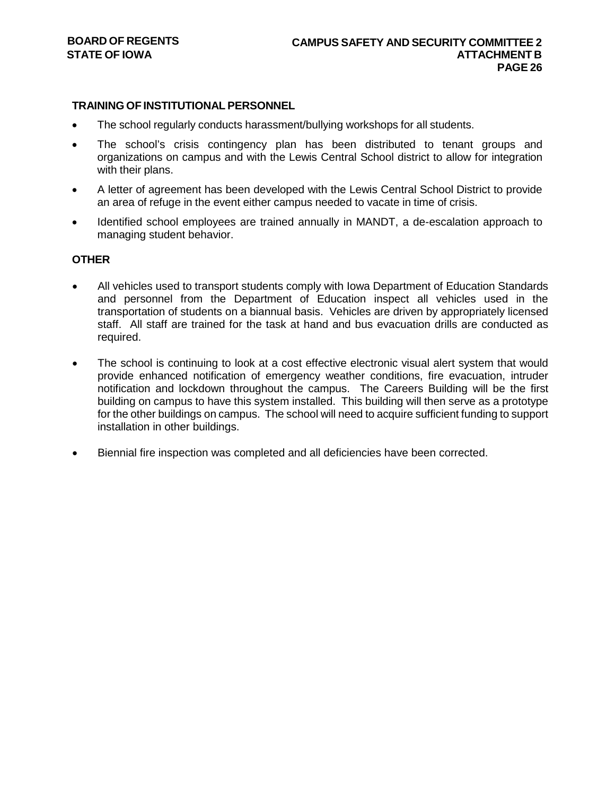# **TRAINING OF INSTITUTIONAL PERSONNEL**

- The school regularly conducts harassment/bullying workshops for all students.
- The school's crisis contingency plan has been distributed to tenant groups and organizations on campus and with the Lewis Central School district to allow for integration with their plans.
- A letter of agreement has been developed with the Lewis Central School District to provide an area of refuge in the event either campus needed to vacate in time of crisis.
- Identified school employees are trained annually in MANDT, a de-escalation approach to managing student behavior.

# **OTHER**

- All vehicles used to transport students comply with Iowa Department of Education Standards and personnel from the Department of Education inspect all vehicles used in the transportation of students on a biannual basis. Vehicles are driven by appropriately licensed staff. All staff are trained for the task at hand and bus evacuation drills are conducted as required.
- The school is continuing to look at a cost effective electronic visual alert system that would provide enhanced notification of emergency weather conditions, fire evacuation, intruder notification and lockdown throughout the campus. The Careers Building will be the first building on campus to have this system installed. This building will then serve as a prototype for the other buildings on campus. The school will need to acquire sufficient funding to support installation in other buildings.
- Biennial fire inspection was completed and all deficiencies have been corrected.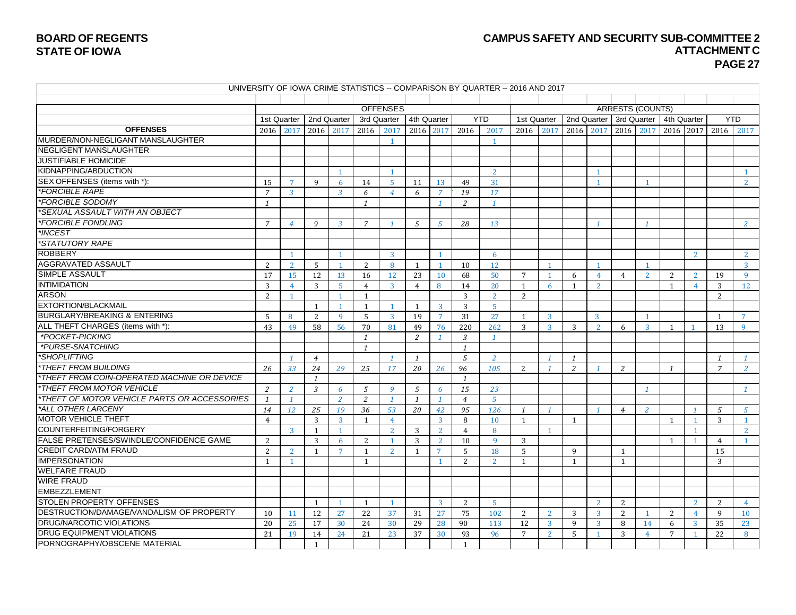PORNOGRAPHY/OBSCENE MATERIAL

#### **CAMPUS SAFETY AND SECURITY SUB-COMMITTEE 2 ATTACHMENT C PAGE 27**

UNIVERSITY OF IOWA CRIME STATISTICS -- COMPARISON BY QUARTER -- 2016 AND 2017 OFFENSES 
arrests (COUNTS) 1st Quarter | 2nd Quarter | 3rd Quarter | 4th Quarter | YTD | 1st Quarter | 2nd Quarter | 3rd Quarter | 4th Quarter | YTD **OFFENSES** 2016 2017 2016 2017 2016 2017 2016 2017 2016 2017 2016 2017 2016 2017 2016 2017 2016 2017 2016 2017 2016 2017 MURDER/NON-NEGLIGANT MANSLAUGHTER 1 1 NEGLIGENT MANSLAUGHTER JUSTIFIABLE HOMICIDE KIDNAPPING/ABDUCTION 1 1 2 1 1 SEX OFFENSES (items with \*): 15 7 9 6 14 5 11 13 49 31 1 1 2 *\*FORCIBLE RAPE 7 3 3 6 4 6 7 19 17 \*FORCIBLE SODOMY 1 1 1 2 1 \*SEXUAL ASSAULT WITH AN OBJECT \*FORCIBLE FONDLING 7 4 9 3 7 1 5 5 28 13 1 1 2 \*INCEST \*STATUTORY RAPE* ROBBERY 2 2 2 AGGRAVATED ASSAULT 2 2 2 5 1 2 8 1 1 1 0 12 1 1 1 1 1 1 SIMPLE ASSAULT 19 17 17 17 17 17 17 17 18 18 19 19 10 12 23 10 12 13 16 17 17 17 18 17 17 18 17 17 18 17 17 1 **INTIMIDATION** 3 4 3 5 4 3 4 8 14 20 1 6 1 2 1 4 3 12 ARSON 2 1 1 1 3 2 2 2 EXTORTION/BLACKMAIL<br>BURGLARY/BREAKING & ENTERING  $\begin{array}{|c|c|c|c|c|c|}\n\hline\n & 1 & 1 & 1 & 1 & 1 & 3 & 3 & 5 \\
\hline\n\end{array}$ BURGLARY/BREAKING & ENTERING 5 8 2 9 5 3 19 7 31 27 1 3 3 1 1 7 ALL THEFT CHARGES (items with \*): 43 49 58 56 70 81 49 76 220 262 3 3 3 3 2 6 3 1 1 3 9<br>\*POCKET-PICKING *\*POCKET-PICKING 1 2 1 3 1 \*PURSE-SNATCHING 1 1 \*SHOPLIFTING 1 4 1 1 5 2 1 1 1 1 \*THEFT FROM BUILDING 26 33 24 29 25 17 20 26 96 105* 2 *1 2 1 2 1 7 2 \*THEFT FROM COIN-OPERATED MACHINE OR DEVICE 1 1 \*THEFT FROM MOTOR VEHICLE 2 2 3 6 5 9 5 6 15 23 1 1 \*THEFT OF MOTOR VEHICLE PARTS OR ACCESSORIES 1 1 2 2 1 1 1 4 5 \*ALL OTHER LARCENY 14 12 25 19 36 53 20 42 95 126 1 1 1 4 2 1 5 5* MOTOR VEHICLE THEFT 4 3 3 1 4 3 8 10 1 1 1 1 3 1 COUNTERFEITING/FORGERY 3 1 1 2 3 2 4 8 1 1 2 FALSE PRETENSES/SWINDLE/CONFIDENCE GAME 2 3 6 2 1 3 2 10 9 3<br>CREDIT CARD/ATM FRAUD 2 2 1 7 1 2 1 7 5 18 5 9 1 1 1 1 1 1 1 1 1 1 1 1 2 2 1 1 7 1 2 1 7 5 18 5 9 1 1 1 1 1 1 CREDIT CARD/ATM FRAUD 2 2 2 1 7 1 2 1 7 5 18 5 9 1 1 IMPERSONATION 1 1 1 1 1 1 1 1 2 2 1 1 1 1 1 3 WELFARE FRAUD WIRE FRAUD EMBEZZLEMENT STOLEN PROPERTY OFFENSES 1 1 1 1 3 2 5 2 2 2 2 4 00 DESTRUCTION/DAMAGE/VANDALISM OF PROPERTY 10 11 12 27 22 37 31 27 75 102 2 2 3 3 3 2 1 2 4 9 10<br>DRUG/NARCOTIC VIOLATIONS 20 25 17 30 24 30 29 28 90 113 12 3 9 3 8 14 6 3 35 23 **DRUG/NARCOTIC VIOLATIONS** 20 25 17 30 24 30 29 28 90 113 12 3 9 3 8 14 6 3 35 23 0 DRUG EQUIPMENT VIOLATIONS 21 19 14 24 21 23 37 30 93 96 7 2 5 1 3 4 7 1 22 8<br>PORNOGRAPHY/OBSCENE MATERIAL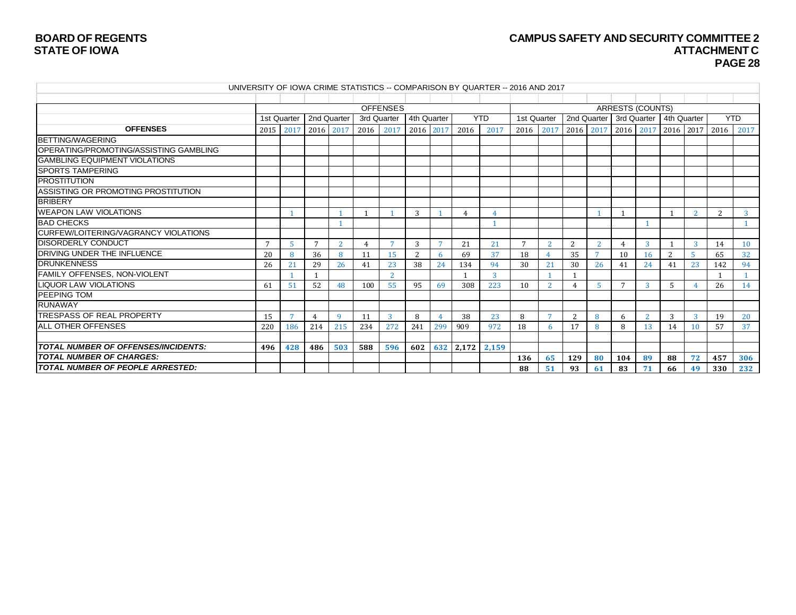# **BOARD OF REGENTS CAMPUS SAFETY AND SECURITY COMMITTEE 2 PAGE 28**

|                                             |           |              |                 |                |                |                 |             |                |                | UNIVERSITY OF IOWA CRIME STATISTICS -- COMPARISON BY QUARTER -- 2016 AND 2017 |                |                |     |              |                         |    |                          |                |      |              |
|---------------------------------------------|-----------|--------------|-----------------|----------------|----------------|-----------------|-------------|----------------|----------------|-------------------------------------------------------------------------------|----------------|----------------|-----|--------------|-------------------------|----|--------------------------|----------------|------|--------------|
|                                             |           |              |                 |                |                |                 |             |                |                |                                                                               |                |                |     |              |                         |    |                          |                |      |              |
|                                             |           |              |                 |                |                | <b>OFFENSES</b> |             |                |                |                                                                               |                |                |     |              | <b>ARRESTS (COUNTS)</b> |    |                          |                |      |              |
|                                             |           | 1st Quarter  | 2nd Quarter     |                |                | 3rd Quarter     | 4th Quarter |                |                | <b>YTD</b>                                                                    |                | 1st Quarter    |     |              | 2nd Quarter 3rd Quarter |    | 4th Quarter              |                |      | <b>YTD</b>   |
| <b>OFFENSES</b>                             | 2015 2017 |              | 2016 2017       |                | 2016 2017      |                 |             | 2016 2017      | 2016           | 2017                                                                          | 2016           | 2017           |     | 2016 2017    | 2016 2017               |    |                          | 2016 2017      | 2016 | 2017         |
| <b>BETTING/WAGERING</b>                     |           |              |                 |                |                |                 |             |                |                |                                                                               |                |                |     |              |                         |    |                          |                |      |              |
| OPERATING/PROMOTING/ASSISTING GAMBLING      |           |              |                 |                |                |                 |             |                |                |                                                                               |                |                |     |              |                         |    |                          |                |      |              |
| <b>GAMBLING EQUIPMENT VIOLATIONS</b>        |           |              |                 |                |                |                 |             |                |                |                                                                               |                |                |     |              |                         |    |                          |                |      |              |
| <b>SPORTS TAMPERING</b>                     |           |              |                 |                |                |                 |             |                |                |                                                                               |                |                |     |              |                         |    |                          |                |      |              |
| <b>PROSTITUTION</b>                         |           |              |                 |                |                |                 |             |                |                |                                                                               |                |                |     |              |                         |    |                          |                |      |              |
| ASSISTING OR PROMOTING PROSTITUTION         |           |              |                 |                |                |                 |             |                |                |                                                                               |                |                |     |              |                         |    |                          |                |      |              |
| <b>BRIBERY</b>                              |           |              |                 |                |                |                 |             |                |                |                                                                               |                |                |     |              |                         |    |                          |                |      |              |
| <b>WEAPON LAW VIOLATIONS</b>                |           | $\mathbf{1}$ |                 |                |                |                 | 3           |                | $\overline{4}$ |                                                                               |                |                |     |              |                         |    |                          | 2              | 2    | $\mathbf{3}$ |
| <b>BAD CHECKS</b>                           |           |              |                 |                |                |                 |             |                |                |                                                                               |                |                |     |              |                         |    |                          |                |      |              |
| <b>CURFEW/LOITERING/VAGRANCY VIOLATIONS</b> |           |              |                 |                |                |                 |             |                |                |                                                                               |                |                |     |              |                         |    |                          |                |      |              |
| <b>IDISORDERLY CONDUCT</b>                  | 7         | -5           | $7\phantom{.0}$ | $\overline{2}$ | $\overline{4}$ |                 | 3           | $\overline{7}$ | 21             | 21                                                                            | $\overline{7}$ | 2              | 2   | <sup>2</sup> |                         | 3  |                          | 3              | 14   | 10           |
| <b>DRIVING UNDER THE INFLUENCE</b>          | 20        |              | 36              | 8              | 11             | 15              | 2           |                | 69             | 37                                                                            | 18             |                | 35  |              | 10                      | 16 | $\overline{\mathcal{L}}$ |                | 65   | 32           |
| <b>DRUNKENNESS</b>                          | 26        | 21           | 29              | 26             | 41             | 23              | 38          | 24             | 134            | 94                                                                            | 30             | 21             | 30  | 26           | 41                      | 24 | 41                       | 23             | 142  | 94           |
| <b>FAMILY OFFENSES, NON-VIOLENT</b>         |           |              |                 |                |                | $\overline{2}$  |             |                |                | 3                                                                             |                |                |     |              |                         |    |                          |                | -1   |              |
| <b>LIQUOR LAW VIOLATIONS</b>                | 61        | 51           | 52              | 48             | 100            | 55              | 95          | 69             | 308            | 223                                                                           | 10             | $\overline{2}$ |     | 5            |                         | 3  | 5                        |                | 26   | 14           |
| <b>PEEPING TOM</b>                          |           |              |                 |                |                |                 |             |                |                |                                                                               |                |                |     |              |                         |    |                          |                |      |              |
| <b>RUNAWAY</b>                              |           |              |                 |                |                |                 |             |                |                |                                                                               |                |                |     |              |                         |    |                          |                |      |              |
| <b>ITRESPASS OF REAL PROPERTY</b>           | 15        | -7           | 4               | 9              | 11             | 3               | 8           |                | 38             | 23                                                                            | 8              |                | 2   | 8            | 6                       | 2  | 3                        | $\overline{3}$ | 19   | 20           |
| <b>JALL OTHER OFFENSES</b>                  | 220       | 186          | 214             | 215            | 234            | 272             | 241         | 299            | 909            | 972                                                                           | 18             | 6              | 17  | 8            | 8                       | 13 | 14                       | 10             | 57   | 37           |
|                                             |           |              |                 |                |                |                 |             |                |                |                                                                               |                |                |     |              |                         |    |                          |                |      |              |
| <i>TOTAL NUMBER OF OFFENSES/INCIDENTS:</i>  | 496       | 428          | 486             | 503            | 588            | 596             | 602         |                | 632 2,172      | 2,159                                                                         |                |                |     |              |                         |    |                          |                |      |              |
| <b>TOTAL NUMBER OF CHARGES:</b>             |           |              |                 |                |                |                 |             |                |                |                                                                               | 136            | 65             | 129 | 80           | 104                     | 89 | 88                       | 72             | 457  | 306          |
| TOTAL NUMBER OF PEOPLE ARRESTED:            |           |              |                 |                |                |                 |             |                |                |                                                                               | 88             | 51             | 93  | 61           | 83                      | 71 | 66                       | 49             | 330  | 232          |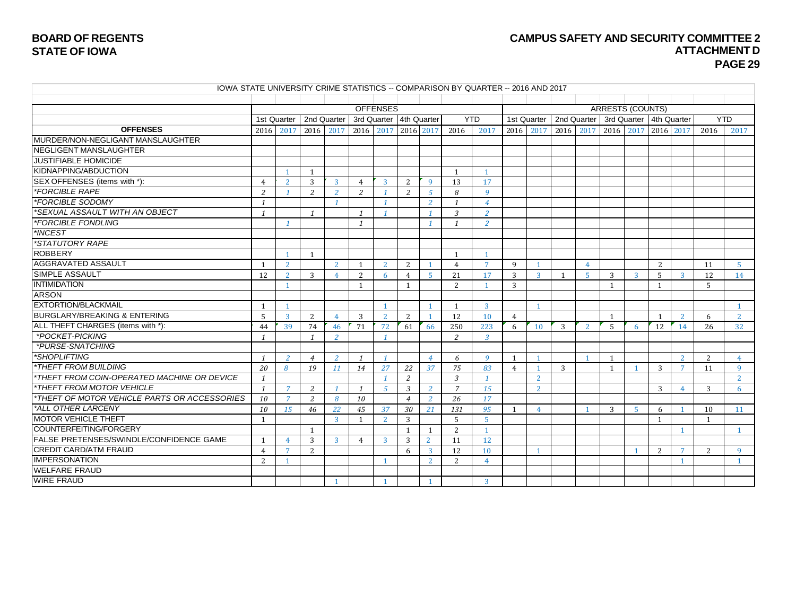# **CAMPUS SAFETY AND SECURITY COMMITTEE 2 ATTACHMENT D PAGE 29**

| IOWA STATE UNIVERSITY CRIME STATISTICS -- COMPARISON BY QUARTER -- 2016 AND 2017 |  |
|----------------------------------------------------------------------------------|--|
|----------------------------------------------------------------------------------|--|

|                                                 |                |                |                |                |                | <b>OFFENSES</b>         |                |                |                |                |                |                |             |                |                | <b>ARRESTS (COUNTS)</b> |              |                 |                |                |
|-------------------------------------------------|----------------|----------------|----------------|----------------|----------------|-------------------------|----------------|----------------|----------------|----------------|----------------|----------------|-------------|----------------|----------------|-------------------------|--------------|-----------------|----------------|----------------|
|                                                 |                | 1st Quarter    | 2nd Quarter    |                |                | 3rd Quarter 4th Quarter |                |                |                | <b>YTD</b>     | 1st Quarter    |                | 2nd Quarter |                | 3rd Quarter    |                         | 4th Quarter  |                 | <b>YTD</b>     |                |
| <b>OFFENSES</b>                                 | 2016           | 2017           | 2016           | 2017           | 2016           | 2017                    | 2016 2017      |                | 2016           | 2017           | 2016           | 2017           | 2016        | 2017           | 2016           | 2017                    | 2016 2017    |                 | 2016           | 2017           |
| MURDER/NON-NEGLIGANT MANSLAUGHTER               |                |                |                |                |                |                         |                |                |                |                |                |                |             |                |                |                         |              |                 |                |                |
| NEGLIGENT MANSLAUGHTER                          |                |                |                |                |                |                         |                |                |                |                |                |                |             |                |                |                         |              |                 |                |                |
| <b>JUSTIFIABLE HOMICIDE</b>                     |                |                |                |                |                |                         |                |                |                |                |                |                |             |                |                |                         |              |                 |                |                |
| KIDNAPPING/ABDUCTION                            |                | - 1            | $\overline{1}$ |                |                |                         |                |                | $\overline{1}$ | $\overline{1}$ |                |                |             |                |                |                         |              |                 |                |                |
| SEX OFFENSES (items with *):                    | $\overline{4}$ | <sup>2</sup>   | 3              | 3              | $\overline{4}$ | 3                       | 2              | 9              | 13             | 17             |                |                |             |                |                |                         |              |                 |                |                |
| <i><b>*FORCIBLE RAPE</b></i>                    | 2              |                | $\overline{2}$ | 2              | 2              | $\mathcal I$            | 2              | $\mathfrak{S}$ | 8              | 9              |                |                |             |                |                |                         |              |                 |                |                |
| *FORCIBLE SODOMY                                | $\overline{1}$ |                |                | $\mathbf{1}$   |                | $\mathbf{1}$            |                | $\overline{2}$ | $\mathbf{1}$   | $\overline{4}$ |                |                |             |                |                |                         |              |                 |                |                |
| *SEXUAL ASSAULT WITH AN OBJECT                  | $\overline{1}$ |                | $\overline{1}$ |                | $\mathbf{1}$   | $\mathbf{1}$            |                | $\mathcal I$   | 3              | $\overline{2}$ |                |                |             |                |                |                         |              |                 |                |                |
| <i><b>*FORCIBLE FONDLING</b></i>                |                | $\overline{1}$ |                |                | $\mathbf{1}$   |                         |                | $\mathcal I$   | $\mathbf{1}$   | $\overline{2}$ |                |                |             |                |                |                         |              |                 |                |                |
| *INCEST                                         |                |                |                |                |                |                         |                |                |                |                |                |                |             |                |                |                         |              |                 |                |                |
| *STATUTORY RAPE                                 |                |                |                |                |                |                         |                |                |                |                |                |                |             |                |                |                         |              |                 |                |                |
| <b>ROBBERY</b>                                  |                |                | - 1            |                |                |                         |                |                | $\mathbf{1}$   |                |                |                |             |                |                |                         |              |                 |                |                |
| <b>AGGRAVATED ASSAULT</b>                       |                | 2              |                | 2              |                | 2                       | 2              |                | $\overline{4}$ | $\overline{7}$ | 9              |                |             | $\overline{4}$ |                |                         | 2            |                 | 11             | $5^{\circ}$    |
| <b>SIMPLE ASSAULT</b>                           | 12             | 2              | 3              | 4              | 2              | 6                       | 4              | $\overline{5}$ | 21             | 17             | 3              | $\mathbf{3}$   | -1          | 5              | 3              | 3                       | 5            | $\mathbf{3}$    | 12             | 14             |
| <b>INTIMIDATION</b>                             |                | -1             |                |                | $\mathbf{1}$   |                         | $\mathbf{1}$   |                | 2              | -1             | 3              |                |             |                | $\overline{1}$ |                         | $\mathbf{1}$ |                 | 5              |                |
| <b>ARSON</b>                                    |                |                |                |                |                |                         |                |                |                |                |                |                |             |                |                |                         |              |                 |                |                |
| <b>EXTORTION/BLACKMAIL</b>                      | $\overline{1}$ | $\overline{1}$ |                |                |                | $\overline{1}$          |                | $\mathbf{1}$   | $\mathbf{1}$   | $\overline{3}$ |                | $\overline{1}$ |             |                |                |                         |              |                 |                |                |
| <b>BURGLARY/BREAKING &amp; ENTERING</b>         | 5              | $\overline{3}$ | 2              | $\overline{4}$ | 3              | $\overline{2}$          | 2              | $\mathbf{1}$   | 12             | 10             | 4              |                |             |                | $\mathbf{1}$   |                         | $\mathbf{1}$ | $\overline{2}$  | 6              | <sup>2</sup>   |
| ALL THEFT CHARGES (items with *):               | 44             | 39             | 74             | 46             | 71             | 72                      | 61             | 66             | 250            | 223            | 6              | 10             | 3           | 2              | .5             | -6                      | 12           | 14              | 26             | 32             |
| *POCKET-PICKING                                 | $\mathbf{1}$   |                | $\mathbf{1}$   | $\overline{2}$ |                |                         |                |                | $\overline{2}$ | $\overline{3}$ |                |                |             |                |                |                         |              |                 |                |                |
| *PURSE-SNATCHING                                |                |                |                |                |                |                         |                |                |                |                |                |                |             |                |                |                         |              |                 |                |                |
| *SHOPLIFTING                                    | $\overline{1}$ | 2              | $\overline{4}$ | 2              | $\mathbf{1}$   | $\mathbf{1}$            |                | $\overline{4}$ | 6              | 9              | $\mathbf{1}$   | $\overline{1}$ |             | $\mathbf{1}$   | $\overline{1}$ |                         |              | $\overline{2}$  | $\overline{2}$ | $\overline{4}$ |
| <i><b>*THEFT FROM BUILDING</b></i>              | 20             | 8              | 19             | 11             | 14             | 27                      | 22             | 37             | 75             | 83             | $\overline{4}$ | $\overline{1}$ | 3           |                | $\overline{1}$ | -1                      | 3            | $7\overline{ }$ | 11             | 9              |
| *THEFT FROM COIN-OPERATED MACHINE OR DEVICE     | $\mathbf{1}$   |                |                |                |                | $\mathbf{1}$            | 2              |                | 3              | $\mathcal I$   |                | 2              |             |                |                |                         |              |                 |                | $\overline{2}$ |
| *THEFT FROM MOTOR VEHICLE                       | $\mathbf{1}$   | $\overline{7}$ | 2              |                | $\mathbf{1}$   | 5                       | $\mathcal{E}$  | 2              | $\overline{7}$ | 15             |                | $\overline{2}$ |             |                |                |                         | 3            | $\overline{4}$  | 3              | 6              |
| *THEFT OF MOTOR VEHICLE PARTS OR ACCESSORIES    | 10             | $\overline{7}$ | 2              | 8              | 10             |                         | $\overline{4}$ | 2              | 26             | 17             |                |                |             |                |                |                         |              |                 |                |                |
| *ALL OTHER LARCENY                              | 10             | 15             | 46             | 22             | 45             | 37                      | 30             | 21             | 131            | 95             | $\mathbf{1}$   | $\overline{4}$ |             | $\overline{1}$ | 3              | $\overline{5}$          | 6            |                 | 10             | 11             |
| <b>MOTOR VEHICLE THEFT</b>                      | $\overline{1}$ |                |                | $\overline{3}$ | $\mathbf{1}$   | $\overline{2}$          | 3              |                | 5              | 5              |                |                |             |                |                |                         | $\mathbf{1}$ |                 | $\overline{1}$ |                |
| <b>COUNTERFEITING/FORGERY</b>                   |                |                | $\overline{1}$ |                |                |                         | $\mathbf{1}$   | $\mathbf{1}$   | 2              | $\overline{1}$ |                |                |             |                |                |                         |              | $\mathbf{1}$    |                |                |
| <b>IFALSE PRETENSES/SWINDLE/CONFIDENCE GAME</b> | $\overline{1}$ | $\overline{4}$ | 3              | 3              | 4              | 3                       | 3              | $\overline{2}$ | 11             | 12             |                |                |             |                |                |                         |              |                 |                |                |
| <b>CREDIT CARD/ATM FRAUD</b>                    | $\overline{4}$ | $\overline{7}$ | 2              |                |                |                         | 6              | 3              | 12             | 10             |                | $\overline{1}$ |             |                |                | $\overline{1}$          | 2            | $\overline{7}$  | 2              | 9              |
| <b>IMPERSONATION</b>                            | 2              |                |                |                |                | $\overline{1}$          |                | <sup>2</sup>   | 2              | $\overline{4}$ |                |                |             |                |                |                         |              | $\mathbf{1}$    |                |                |
| <b>WELFARE FRAUD</b>                            |                |                |                |                |                |                         |                |                |                |                |                |                |             |                |                |                         |              |                 |                |                |
| <b>WIRE FRAUD</b>                               |                |                |                | $\overline{1}$ |                | $\overline{1}$          |                |                |                | 3              |                |                |             |                |                |                         |              |                 |                |                |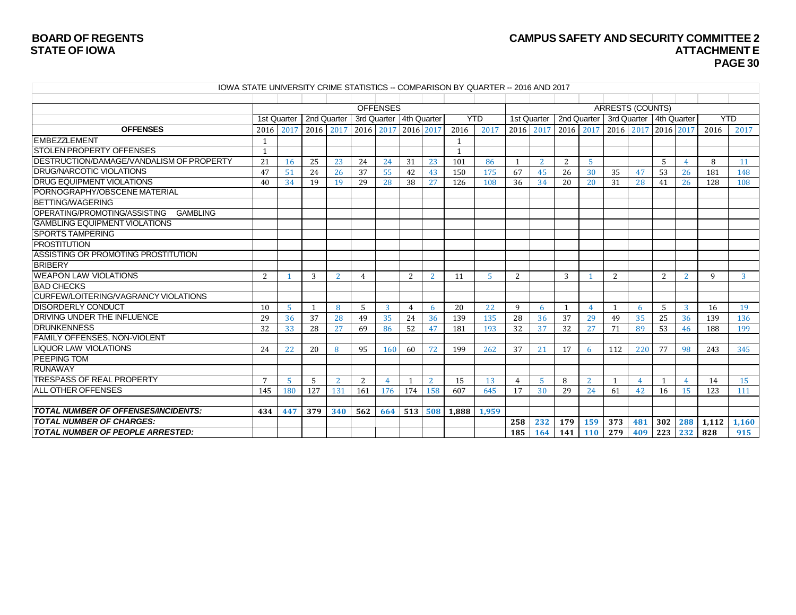# **BOARD OF REGENTS CAMPUS SAFETY AND SECURITY COMMITTEE <sup>2</sup> PAGE 30**

| IOWA STATE UNIVERSITY CRIME STATISTICS -- COMPARISON BY QUARTER -- 2016 AND 2017 |                 |     |             |              |                |                         |     |         |              |                |              |     |              |               |              |                         |     |     |            |              |
|----------------------------------------------------------------------------------|-----------------|-----|-------------|--------------|----------------|-------------------------|-----|---------|--------------|----------------|--------------|-----|--------------|---------------|--------------|-------------------------|-----|-----|------------|--------------|
|                                                                                  |                 |     |             |              |                |                         |     |         |              |                |              |     |              |               |              |                         |     |     |            |              |
|                                                                                  |                 |     |             |              |                | <b>OFFENSES</b>         |     |         |              |                |              |     |              |               |              | <b>ARRESTS (COUNTS)</b> |     |     |            |              |
|                                                                                  | 1st Quarter     |     | 2nd Quarter |              |                | 3rd Quarter 4th Quarter |     |         |              | <b>YTD</b>     | 1st Quarter  |     |              | 2nd Quarter I |              | 3rd Quarter 4th Quarter |     |     | <b>YTD</b> |              |
| <b>OFFENSES</b>                                                                  | 2016 2017       |     | 2016 2017   |              |                | 2016 2017 2016 2017     |     |         | 2016         | 2017           | 2016 2017    |     |              | 2016 2017     |              | 2016 2017 2016 2017     |     |     | 2016       | 2017         |
| <b>EMBEZZLEMENT</b>                                                              | -1              |     |             |              |                |                         |     |         |              |                |              |     |              |               |              |                         |     |     |            |              |
| <b>STOLEN PROPERTY OFFENSES</b>                                                  | -1              |     |             |              |                |                         |     |         | $\mathbf{1}$ |                |              |     |              |               |              |                         |     |     |            |              |
| <b>IDESTRUCTION/DAMAGE/VANDALISM OF PROPERTY</b>                                 | 21              | 16  | 25          | 23           | 24             | 24                      | 31  | 23      | 101          | 86             | $\mathbf{1}$ | 2   | 2            | 5             |              |                         | 5   |     | 8          | 11           |
| <b>DRUG/NARCOTIC VIOLATIONS</b>                                                  | 47              | 51  | 24          | 26           | 37             | 55                      | 42  | 43      | 150          | 175            | 67           | 45  | 26           | 30            | 35           | 47                      | 53  | 26  | 181        | 148          |
| <b>DRUG EQUIPMENT VIOLATIONS</b>                                                 | 40              | 34  | 19          | 19           | 29             | 28                      | 38  | 27      | 126          | 108            | 36           | 34  | 20           | 20            | 31           | 28                      | 41  | 26  | 128        | 108          |
| PORNOGRAPHY/OBSCENE MATERIAL                                                     |                 |     |             |              |                |                         |     |         |              |                |              |     |              |               |              |                         |     |     |            |              |
| <b>BETTING/WAGERING</b>                                                          |                 |     |             |              |                |                         |     |         |              |                |              |     |              |               |              |                         |     |     |            |              |
| OPERATING/PROMOTING/ASSISTING<br><b>GAMBLING</b>                                 |                 |     |             |              |                |                         |     |         |              |                |              |     |              |               |              |                         |     |     |            |              |
| GAMBLING EQUIPMENT VIOLATIONS                                                    |                 |     |             |              |                |                         |     |         |              |                |              |     |              |               |              |                         |     |     |            |              |
| <b>SPORTS TAMPERING</b>                                                          |                 |     |             |              |                |                         |     |         |              |                |              |     |              |               |              |                         |     |     |            |              |
| <b>PROSTITUTION</b>                                                              |                 |     |             |              |                |                         |     |         |              |                |              |     |              |               |              |                         |     |     |            |              |
| ASSISTING OR PROMOTING PROSTITUTION                                              |                 |     |             |              |                |                         |     |         |              |                |              |     |              |               |              |                         |     |     |            |              |
| <b>BRIBERY</b>                                                                   |                 |     |             |              |                |                         |     |         |              |                |              |     |              |               |              |                         |     |     |            |              |
| <b>WEAPON LAW VIOLATIONS</b>                                                     | 2               |     | 3           | 2            | $\overline{4}$ |                         | 2   | 2       | 11           | $\overline{5}$ | 2            |     | 3            |               | 2            |                         | 2   | 2   | 9          | $\mathbf{3}$ |
| <b>BAD CHECKS</b>                                                                |                 |     |             |              |                |                         |     |         |              |                |              |     |              |               |              |                         |     |     |            |              |
| CURFEW/LOITERING/VAGRANCY VIOLATIONS                                             |                 |     |             |              |                |                         |     |         |              |                |              |     |              |               |              |                         |     |     |            |              |
| <b>IDISORDERLY CONDUCT</b>                                                       | 10              | 5   |             | $\mathbf{R}$ | .5             | 3                       | 4   | 6       | 20           | 22             | 9            | 6   | $\mathbf{1}$ |               | $\mathbf{1}$ | 6                       | 5   | 3   | 16         | 19           |
| <b>DRIVING UNDER THE INFLUENCE</b>                                               | 29              | 36  | 37          | 28           | 49             | 35                      | 24  | 36      | 139          | 135            | 28           | 36  | 37           | 29            | 49           | 35                      | 25  | 36  | 139        | 136          |
| <b>DRUNKENNESS</b>                                                               | 32              | 33  | 28          | 27           | 69             | 86                      | 52  | 47      | 181          | 193            | 32           | 37  | 32           | 27            | 71           | 89                      | 53  | 46  | 188        | 199          |
| <b>FAMILY OFFENSES, NON-VIOLENT</b>                                              |                 |     |             |              |                |                         |     |         |              |                |              |     |              |               |              |                         |     |     |            |              |
| <b>LIQUOR LAW VIOLATIONS</b>                                                     | 24              | 22  | 20          | 8            | 95             | 160                     | 60  | 72      | 199          | 262            | 37           | 21  | 17           | 6             | 112          | 220                     | 77  | 98  | 243        | 345          |
| <b>PEEPING TOM</b>                                                               |                 |     |             |              |                |                         |     |         |              |                |              |     |              |               |              |                         |     |     |            |              |
| <b>RUNAWAY</b>                                                                   |                 |     |             |              |                |                         |     |         |              |                |              |     |              |               |              |                         |     |     |            |              |
| <b>TRESPASS OF REAL PROPERTY</b>                                                 | $7\overline{ }$ | -5  | 5           | 2            | 2              | $\overline{4}$          |     | 2       | 15           | 13             | 4            | -5  | 8            | 2             | $\mathbf{1}$ | $\overline{4}$          | 1   | 4   | 14         | 15           |
| <b>ALL OTHER OFFENSES</b>                                                        | 145             | 180 | 127         | 131          | 161            | 176                     | 174 | 158     | 607          | 645            | 17           | 30  | 29           | 24            | 61           | 42                      | 16  | 15  | 123        | 111          |
|                                                                                  |                 |     |             |              |                |                         |     |         |              |                |              |     |              |               |              |                         |     |     |            |              |
| <b>TOTAL NUMBER OF OFFENSES/INCIDENTS:</b>                                       | 434             | 447 | 379         | 340          | 562            | 664                     |     | 513 508 | 1.888        | 1,959          |              |     |              |               |              |                         |     |     |            |              |
| <b>TOTAL NUMBER OF CHARGES:</b>                                                  |                 |     |             |              |                |                         |     |         |              |                | 258          | 232 | 179          | 159           | 373          | 481                     | 302 | 288 | 1,112      | 1,160        |
| <b>TOTAL NUMBER OF PEOPLE ARRESTED:</b>                                          |                 |     |             |              |                |                         |     |         |              |                | 185          | 164 | 141          | <b>110</b>    | 279          | 409                     | 223 | 232 | 828        | 915          |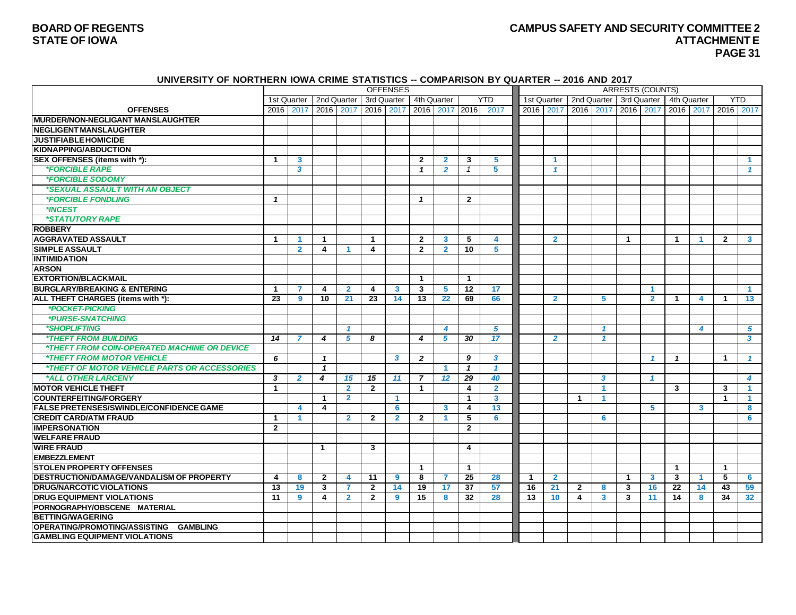#### **BOARD OF REGENTS CAMPUS SAFETY AND SECURITY COMMITTEE 2 STATE OF IOWA ATTACHMENTE PAGE 31**

#### **UNIVERSITY OF NORTHERN IOWA CRIME STATISTICS -- COMPARISON BY QUARTER -- 2016 AND 2017**

|                                                            |                |                        |                         |                         |                | <b>OFFENSES</b>      |                |                      |               |                         |              |                |                         |                  | <b>ARRESTS (COUNTS)</b> |                |                      |              |                |                      |
|------------------------------------------------------------|----------------|------------------------|-------------------------|-------------------------|----------------|----------------------|----------------|----------------------|---------------|-------------------------|--------------|----------------|-------------------------|------------------|-------------------------|----------------|----------------------|--------------|----------------|----------------------|
|                                                            |                | 1st Quarter            |                         | 2nd Quarter             | 3rd Quarter    |                      |                | 4th Quarter          |               | <b>YTD</b>              |              | 1st Quarter    |                         | 2nd Quarter      |                         | 3rd Quarter    |                      | 4th Quarter  |                | <b>YTD</b>           |
| <b>OFFENSES</b>                                            | 2016           | 2017                   | 2016 2017               |                         | 2016           | 2017                 | 2016           |                      | 2017 2016     | 2017                    |              | 2016 2017      |                         | 2016 2017        |                         | 2016 2017      |                      | 2016 2017    |                | 2016 2017            |
| <b>MURDER/NON-NEGLIGANT MANSLAUGHTER</b>                   |                |                        |                         |                         |                |                      |                |                      |               |                         |              |                |                         |                  |                         |                |                      |              |                |                      |
| <b>NEGLIGENT MANSLAUGHTER</b>                              |                |                        |                         |                         |                |                      |                |                      |               |                         |              |                |                         |                  |                         |                |                      |              |                |                      |
| <b>JUSTIFIABLE HOMICIDE</b>                                |                |                        |                         |                         |                |                      |                |                      |               |                         |              |                |                         |                  |                         |                |                      |              |                |                      |
| <b>KIDNAPPING/ABDUCTION</b>                                |                |                        |                         |                         |                |                      |                |                      |               |                         |              |                |                         |                  |                         |                |                      |              |                |                      |
| SEX OFFENSES (items with *):                               | $\mathbf{1}$   | $\mathbf{3}$           |                         |                         |                |                      | $\mathbf{2}$   | $\overline{2}$       | 3             | 5                       |              | -1             |                         |                  |                         |                |                      |              |                | $\blacktriangleleft$ |
| <i><b>*FORCIBLE RAPE</b></i>                               |                | 3                      |                         |                         |                |                      | $\mathbf{1}$   | $\overline{2}$       | $\mathcal{I}$ | 5                       |              | -1             |                         |                  |                         |                |                      |              |                | $\mathbf{1}$         |
| *FORCIBLE SODOMY                                           |                |                        |                         |                         |                |                      |                |                      |               |                         |              |                |                         |                  |                         |                |                      |              |                |                      |
| *SEXUAL ASSAULT WITH AN OBJECT                             |                |                        |                         |                         |                |                      |                |                      |               |                         |              |                |                         |                  |                         |                |                      |              |                |                      |
| <i><b>*FORCIBLE FONDLING</b></i>                           | $\mathbf{1}$   |                        |                         |                         |                |                      | $\mathbf{1}$   |                      | $\mathbf{2}$  |                         |              |                |                         |                  |                         |                |                      |              |                |                      |
| *INCEST                                                    |                |                        |                         |                         |                |                      |                |                      |               |                         |              |                |                         |                  |                         |                |                      |              |                |                      |
| *STATUTORY RAPE                                            |                |                        |                         |                         |                |                      |                |                      |               |                         |              |                |                         |                  |                         |                |                      |              |                |                      |
| <b>ROBBERY</b>                                             |                |                        |                         |                         |                |                      |                |                      |               |                         |              |                |                         |                  |                         |                |                      |              |                |                      |
| <b>AGGRAVATED ASSAULT</b>                                  | $\mathbf{1}$   | 1                      | 1                       |                         | $\mathbf{1}$   |                      | $\mathbf{2}$   | 3                    | 5             | $\boldsymbol{4}$        |              | $\overline{2}$ |                         |                  | $\blacktriangleleft$    |                | $\blacktriangleleft$ | -1           | $\overline{2}$ | 3 <sup>1</sup>       |
| <b>SIMPLE ASSAULT</b>                                      |                | $\overline{2}$         | 4                       |                         | 4              |                      | $\mathbf{2}$   | $\overline{2}$       | 10            | 5                       |              |                |                         |                  |                         |                |                      |              |                |                      |
| <b>INTIMIDATION</b>                                        |                |                        |                         |                         |                |                      |                |                      |               |                         |              |                |                         |                  |                         |                |                      |              |                |                      |
| <b>ARSON</b>                                               |                |                        |                         |                         |                |                      |                |                      |               |                         |              |                |                         |                  |                         |                |                      |              |                |                      |
| <b>EXTORTION/BLACKMAIL</b>                                 |                |                        |                         |                         |                |                      | $\mathbf{1}$   |                      | $\mathbf{1}$  |                         |              |                |                         |                  |                         |                |                      |              |                |                      |
| <b>BURGLARY/BREAKING &amp; ENTERING</b>                    | $\mathbf{1}$   |                        | 4                       | $\overline{2}$          | 4              | 3                    | 3              | 5                    | 12            | 17                      |              |                |                         |                  |                         | -1             |                      |              |                | $\blacktriangleleft$ |
| ALL THEFT CHARGES (items with *):                          | 23             | 9                      | 10                      | 21                      | 23             | 14                   | 13             | 22                   | 69            | 66                      |              | $\overline{2}$ |                         | 5                |                         | $\overline{2}$ | 1                    | 4            | $\mathbf{1}$   | 13                   |
| *POCKET-PICKING                                            |                |                        |                         |                         |                |                      |                |                      |               |                         |              |                |                         |                  |                         |                |                      |              |                |                      |
| *PURSE-SNATCHING                                           |                |                        |                         |                         |                |                      |                |                      |               |                         |              |                |                         |                  |                         |                |                      |              |                |                      |
| *SHOPLIFTING                                               |                |                        |                         | $\overline{1}$          |                |                      |                | 4                    |               | 5                       |              |                |                         | $\mathbf{1}$     |                         |                |                      | 4            |                | 5                    |
| <b><i>*THEFT FROM BUILDING</i></b>                         | 14             |                        | 4                       | 5                       | 8              |                      | 4              | 5                    | 30            | 17                      |              | $\overline{2}$ |                         | -1               |                         |                |                      |              |                | 3                    |
| <i><b>*THEFT FROM COIN-OPERATED MACHINE OR DEVICE</b></i>  |                |                        |                         |                         |                |                      |                |                      |               |                         |              |                |                         |                  |                         |                |                      |              |                |                      |
| <b><i>*THEFT FROM MOTOR VEHICLE</i></b>                    | 6              |                        | $\mathbf{1}$            |                         |                | 3                    | $\overline{2}$ |                      | 9             | $\mathbf{3}$            |              |                |                         |                  |                         | -1             | $\mathbf{1}$         |              | $\mathbf 1$    | 1                    |
| <i><b>*THEFT OF MOTOR VEHICLE PARTS OR ACCESSORIES</b></i> |                |                        | $\mathbf{1}$            |                         |                |                      |                | $\blacktriangleleft$ | $\mathbf{1}$  | $\overline{1}$          |              |                |                         |                  |                         |                |                      |              |                |                      |
| *ALL OTHER LARCENY                                         | 3              | $\overline{2}$         | 4                       | 15                      | 15             | 11                   | $\overline{7}$ | 12                   | 29            | 40                      |              |                |                         | $\boldsymbol{3}$ |                         |                |                      |              |                | 4                    |
| <b>MOTOR VEHICLE THEFT</b>                                 | $\mathbf{1}$   |                        |                         | $\overline{2}$          | $\overline{2}$ |                      | $\mathbf{1}$   |                      | 4             | $\overline{2}$          |              |                |                         | -1               |                         |                | $\mathbf{3}$         |              | 3              | $\blacktriangleleft$ |
| <b>COUNTERFEITING/FORGERY</b>                              |                |                        | $\mathbf{1}$            | $\overline{2}$          |                | $\blacktriangleleft$ |                |                      | $\mathbf 1$   | $\overline{\mathbf{3}}$ |              |                | $\mathbf{1}$            | -1               |                         |                |                      |              | $\mathbf{1}$   | $\blacktriangleleft$ |
| <b>FALSE PRETENSES/SWINDLE/CONFIDENCE GAME</b>             |                | $\boldsymbol{\Lambda}$ | $\overline{\mathbf{4}}$ |                         |                | 6                    |                | $\mathbf{3}$         | 4             | 13                      |              |                |                         |                  |                         | 5              |                      | $\mathbf{3}$ |                | 8                    |
| <b>CREDIT CARD/ATM FRAUD</b>                               | $\mathbf{1}$   | -1                     |                         | $\overline{2}$          | $\overline{2}$ | $\overline{2}$       | $\mathbf{2}$   | $\blacktriangleleft$ | 5             | 6                       |              |                |                         | 6                |                         |                |                      |              |                | 6                    |
| <b>IMPERSONATION</b>                                       | $\overline{2}$ |                        |                         |                         |                |                      |                |                      | $\mathbf{2}$  |                         |              |                |                         |                  |                         |                |                      |              |                |                      |
| <b>WELFARE FRAUD</b>                                       |                |                        |                         |                         |                |                      |                |                      |               |                         |              |                |                         |                  |                         |                |                      |              |                |                      |
| <b>WIRE FRAUD</b>                                          |                |                        | 1                       |                         | 3              |                      |                |                      | 4             |                         |              |                |                         |                  |                         |                |                      |              |                |                      |
| <b>EMBEZZLEMENT</b>                                        |                |                        |                         |                         |                |                      |                |                      |               |                         |              |                |                         |                  |                         |                |                      |              |                |                      |
| <b>STOLEN PROPERTY OFFENSES</b>                            |                |                        |                         |                         |                |                      | $\mathbf{1}$   |                      | $\mathbf{1}$  |                         |              |                |                         |                  |                         |                | $\mathbf{1}$         |              | $\mathbf{1}$   |                      |
| <b>DESTRUCTION/DAMAGE/VANDALISM OF PROPERTY</b>            | 4              | 8                      | $\mathbf{2}$            | $\overline{\mathbf{4}}$ | 11             | 9                    | 8              | $\overline{7}$       | 25            | 28                      | $\mathbf{1}$ | $\overline{2}$ |                         |                  | $\mathbf 1$             | 3              | 3                    | -1           | 5              | 6                    |
| <b>DRUG/NARCOTIC VIOLATIONS</b>                            | 13             | 19                     | 3                       | $\overline{7}$          | $\mathbf{2}$   | 14                   | 19             | 17                   | 37            | 57                      | 16           | 21             | $\mathbf{2}$            | 8                | 3                       | 16             | 22                   | 14           | 43             | 59                   |
| <b>DRUG EQUIPMENT VIOLATIONS</b>                           | 11             | 9                      | 4                       | $\overline{2}$          | $\overline{2}$ | $\boldsymbol{9}$     | 15             | 8                    | 32            | 28                      | 13           | 10             | $\overline{\mathbf{4}}$ | 3                | 3                       | 11             | 14                   | 8            | 34             | 32 <sub>2</sub>      |
| PORNOGRAPHY/OBSCENE MATERIAL                               |                |                        |                         |                         |                |                      |                |                      |               |                         |              |                |                         |                  |                         |                |                      |              |                |                      |
| <b>BETTING/WAGERING</b>                                    |                |                        |                         |                         |                |                      |                |                      |               |                         |              |                |                         |                  |                         |                |                      |              |                |                      |
| <b>OPERATING/PROMOTING/ASSISTING</b><br><b>GAMBLING</b>    |                |                        |                         |                         |                |                      |                |                      |               |                         |              |                |                         |                  |                         |                |                      |              |                |                      |
| <b>GAMBLING EQUIPMENT VIOLATIONS</b>                       |                |                        |                         |                         |                |                      |                |                      |               |                         |              |                |                         |                  |                         |                |                      |              |                |                      |
|                                                            |                |                        |                         |                         |                |                      |                |                      |               |                         |              |                |                         |                  |                         |                |                      |              |                |                      |